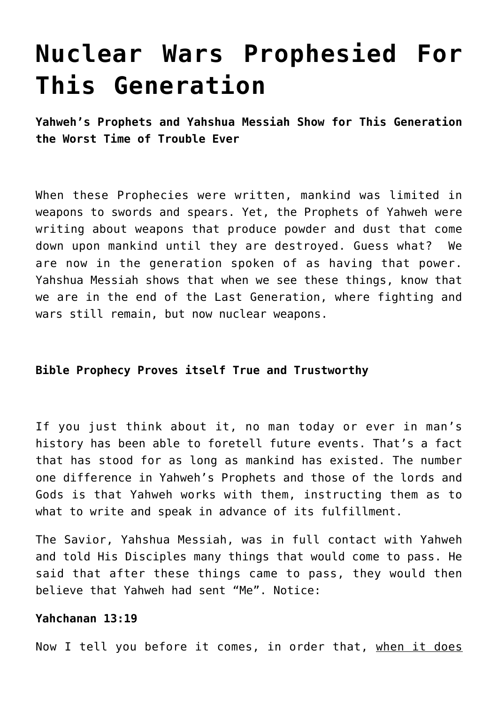# **[Nuclear Wars Prophesied For](https://yahwehsbranch.com/nuclear-wars-prophesied-for-this-generation/) [This Generation](https://yahwehsbranch.com/nuclear-wars-prophesied-for-this-generation/)**

**Yahweh's Prophets and Yahshua Messiah Show for This Generation the Worst Time of Trouble Ever**

When these Prophecies were written, mankind was limited in weapons to swords and spears. Yet, the Prophets of Yahweh were writing about weapons that produce powder and dust that come down upon mankind until they are destroyed. Guess what? We are now in the generation spoken of as having that power. Yahshua Messiah shows that when we see these things, know that we are in the end of the Last Generation, where fighting and wars still remain, but now nuclear weapons.

# **Bible Prophecy Proves itself True and Trustworthy**

If you just think about it, no man today or ever in man's history has been able to foretell future events. That's a fact that has stood for as long as mankind has existed. The number one difference in Yahweh's Prophets and those of the lords and Gods is that Yahweh works with them, instructing them as to what to write and speak in advance of its fulfillment.

The Savior, Yahshua Messiah, was in full contact with Yahweh and told His Disciples many things that would come to pass. He said that after these things came to pass, they would then believe that Yahweh had sent "Me". Notice:

# **Yahchanan 13:19**

Now I tell you before it comes, in order that, when it does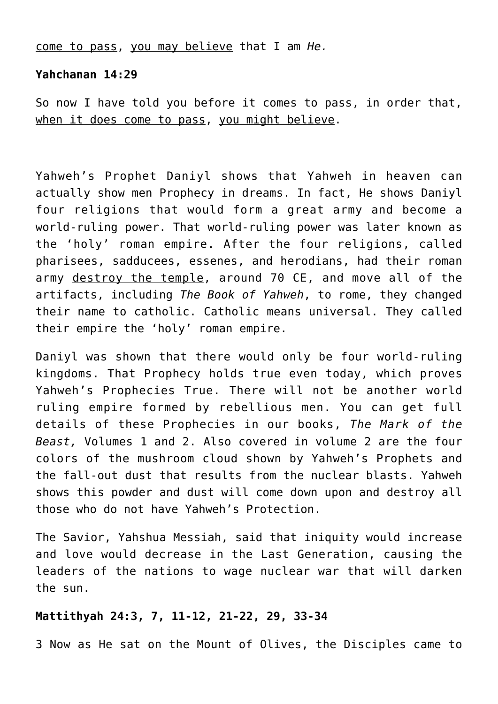come to pass, you may believe that I am *He.*

#### **Yahchanan 14:29**

So now I have told you before it comes to pass, in order that, when it does come to pass, you might believe.

Yahweh's Prophet Daniyl shows that Yahweh in heaven can actually show men Prophecy in dreams. In fact, He shows Daniyl four religions that would form a great army and become a world-ruling power. That world-ruling power was later known as the 'holy' roman empire. After the four religions, called pharisees, sadducees, essenes, and herodians, had their roman army destroy the temple, around 70 CE, and move all of the artifacts, including *The Book of Yahweh*, to rome, they changed their name to catholic. Catholic means universal. They called their empire the 'holy' roman empire.

Daniyl was shown that there would only be four world-ruling kingdoms. That Prophecy holds true even today, which proves Yahweh's Prophecies True. There will not be another world ruling empire formed by rebellious men. You can get full details of these Prophecies in our books, *The Mark of the Beast,* Volumes 1 and 2. Also covered in volume 2 are the four colors of the mushroom cloud shown by Yahweh's Prophets and the fall-out dust that results from the nuclear blasts. Yahweh shows this powder and dust will come down upon and destroy all those who do not have Yahweh's Protection.

The Savior, Yahshua Messiah, said that iniquity would increase and love would decrease in the Last Generation, causing the leaders of the nations to wage nuclear war that will darken the sun.

# **Mattithyah 24:3, 7, 11-12, 21-22, 29, 33-34**

3 Now as He sat on the Mount of Olives, the Disciples came to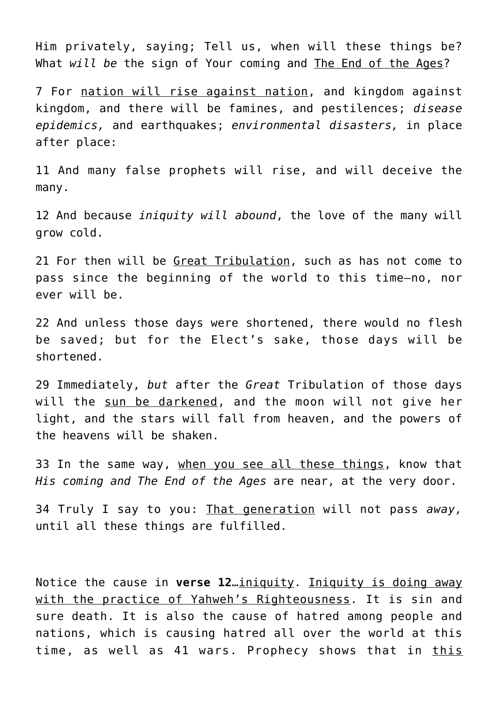Him privately, saying; Tell us, when will these things be? What *will be* the sign of Your coming and The End of the Ages?

7 For nation will rise against nation, and kingdom against kingdom, and there will be famines, and pestilences; *disease epidemics,* and earthquakes; *environmental disasters,* in place after place:

11 And many false prophets will rise, and will deceive the many.

12 And because *iniquity will abound*, the love of the many will grow cold.

21 For then will be Great Tribulation, such as has not come to pass since the beginning of the world to this time—no, nor ever will be.

22 And unless those days were shortened, there would no flesh be saved; but for the Elect's sake, those days will be shortened.

29 Immediately, *but* after the *Great* Tribulation of those days will the sun be darkened, and the moon will not give her light, and the stars will fall from heaven, and the powers of the heavens will be shaken.

33 In the same way, when you see all these things, know that *His coming and The End of the Ages* are near, at the very door.

34 Truly I say to you: That generation will not pass *away,* until all these things are fulfilled.

Notice the cause in **verse 12**…iniquity. Iniquity is doing away with the practice of Yahweh's Righteousness. It is sin and sure death. It is also the cause of hatred among people and nations, which is causing hatred all over the world at this time, as well as 41 wars. Prophecy shows that in this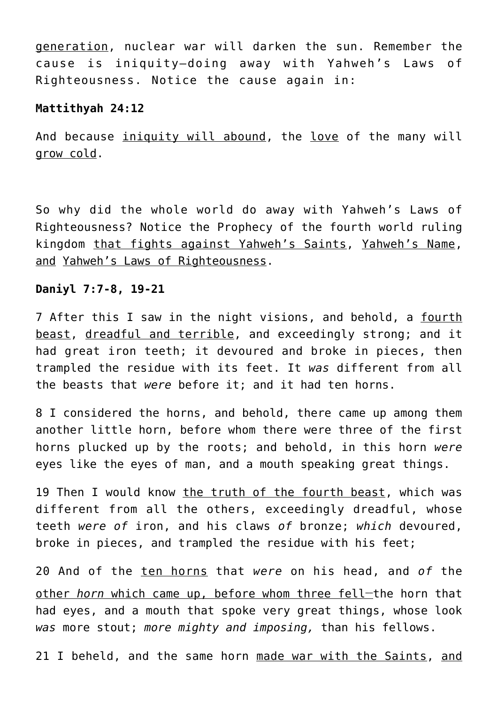generation, nuclear war will darken the sun. Remember the cause is iniquity–doing away with Yahweh's Laws of Righteousness. Notice the cause again in:

# **Mattithyah 24:12**

And because iniquity will abound, the love of the many will grow cold.

So why did the whole world do away with Yahweh's Laws of Righteousness? Notice the Prophecy of the fourth world ruling kingdom that fights against Yahweh's Saints, Yahweh's Name, and Yahweh's Laws of Righteousness.

# **Daniyl 7:7-8, 19-21**

7 After this I saw in the night visions, and behold, a fourth beast, dreadful and terrible, and exceedingly strong; and it had great iron teeth; it devoured and broke in pieces, then trampled the residue with its feet. It *was* different from all the beasts that *were* before it; and it had ten horns.

8 I considered the horns, and behold, there came up among them another little horn, before whom there were three of the first horns plucked up by the roots; and behold, in this horn *were* eyes like the eyes of man, and a mouth speaking great things.

19 Then I would know the truth of the fourth beast, which was different from all the others, exceedingly dreadful, whose teeth *were of* iron, and his claws *of* bronze; *which* devoured, broke in pieces, and trampled the residue with his feet;

20 And of the ten horns that *were* on his head, and *of* the other *horn* which came up, before whom three fell**\_\_**the horn that had eyes, and a mouth that spoke very great things, whose look *was* more stout; *more mighty and imposing,* than his fellows.

21 I beheld, and the same horn made war with the Saints, and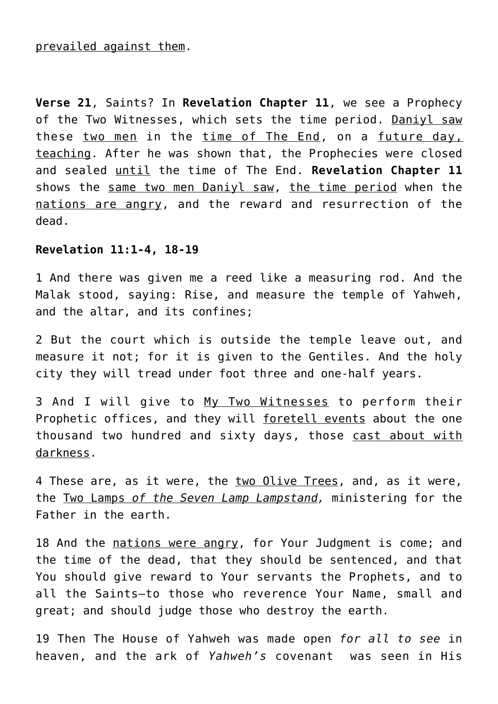prevailed against them.

**Verse 21**, Saints? In **Revelation Chapter 11**, we see a Prophecy of the Two Witnesses, which sets the time period. Daniyl saw these two men in the time of The End, on a future day, teaching. After he was shown that, the Prophecies were closed and sealed until the time of The End. **Revelation Chapter 11** shows the same two men Daniyl saw, the time period when the nations are angry, and the reward and resurrection of the dead.

# **Revelation 11:1-4, 18-19**

1 And there was given me a reed like a measuring rod. And the Malak stood, saying: Rise, and measure the temple of Yahweh, and the altar, and its confines;

2 But the court which is outside the temple leave out, and measure it not; for it is given to the Gentiles. And the holy city they will tread under foot three and one-half years.

3 And I will give to My Two Witnesses to perform their Prophetic offices, and they will foretell events about the one thousand two hundred and sixty days, those cast about with darkness.

4 These are, as it were, the two Olive Trees, and, as it were, the Two Lamps *of the Seven Lamp Lampstand,* ministering for the Father in the earth.

18 And the nations were angry, for Your Judgment is come; and the time of the dead, that they should be sentenced, and that You should give reward to Your servants the Prophets, and to all the Saints—to those who reverence Your Name, small and great; and should judge those who destroy the earth.

19 Then The House of Yahweh was made open *for all to see* in heaven, and the ark of *Yahweh's* covenant was seen in His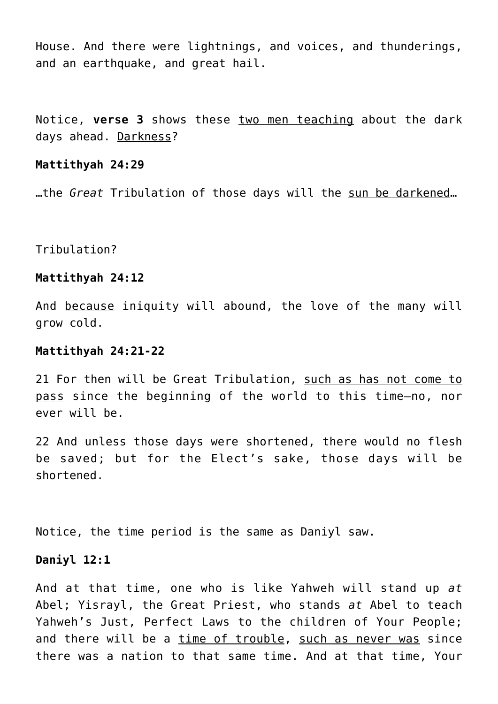House. And there were lightnings, and voices, and thunderings, and an earthquake, and great hail.

Notice, **verse 3** shows these two men teaching about the dark days ahead. Darkness?

#### **Mattithyah 24:29**

…the *Great* Tribulation of those days will the sun be darkened…

## Tribulation?

## **Mattithyah 24:12**

And because iniquity will abound, the love of the many will grow cold.

#### **Mattithyah 24:21-22**

21 For then will be Great Tribulation, such as has not come to pass since the beginning of the world to this time—no, nor ever will be.

22 And unless those days were shortened, there would no flesh be saved; but for the Elect's sake, those days will be shortened.

Notice, the time period is the same as Daniyl saw.

# **Daniyl 12:1**

And at that time, one who is like Yahweh will stand up *at* Abel; Yisrayl, the Great Priest, who stands *at* Abel to teach Yahweh's Just, Perfect Laws to the children of Your People; and there will be a time of trouble, such as never was since there was a nation to that same time. And at that time, Your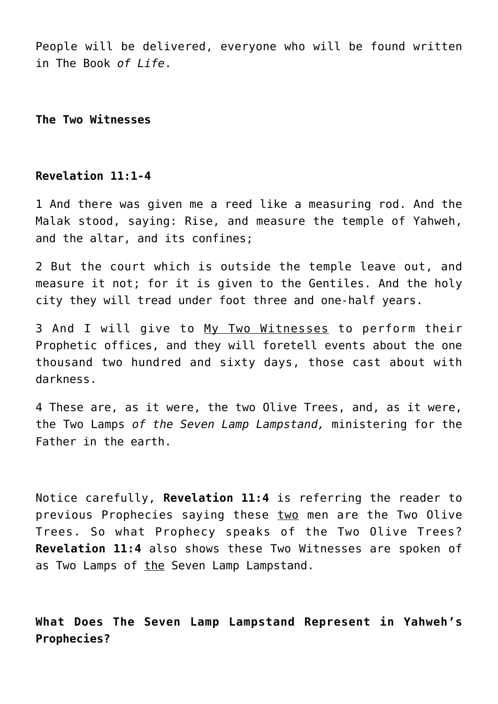People will be delivered, everyone who will be found written in The Book *of Life*.

**The Two Witnesses**

# **Revelation 11:1-4**

1 And there was given me a reed like a measuring rod. And the Malak stood, saying: Rise, and measure the temple of Yahweh, and the altar, and its confines;

2 But the court which is outside the temple leave out, and measure it not; for it is given to the Gentiles. And the holy city they will tread under foot three and one-half years.

3 And I will give to My Two Witnesses to perform their Prophetic offices, and they will foretell events about the one thousand two hundred and sixty days, those cast about with darkness.

4 These are, as it were, the two Olive Trees, and, as it were, the Two Lamps *of the Seven Lamp Lampstand,* ministering for the Father in the earth.

Notice carefully, **Revelation 11:4** is referring the reader to previous Prophecies saying these two men are the Two Olive Trees. So what Prophecy speaks of the Two Olive Trees? **Revelation 11:4** also shows these Two Witnesses are spoken of as Two Lamps of the Seven Lamp Lampstand.

**What Does The Seven Lamp Lampstand Represent in Yahweh's Prophecies?**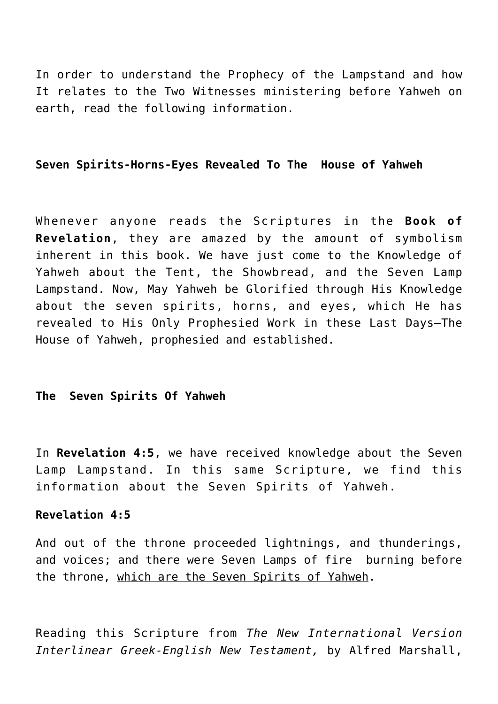In order to understand the Prophecy of the Lampstand and how It relates to the Two Witnesses ministering before Yahweh on earth, read the following information.

# **Seven Spirits-Horns-Eyes Revealed To The House of Yahweh**

Whenever anyone reads the Scriptures in the **Book of Revelation**, they are amazed by the amount of symbolism inherent in this book. We have just come to the Knowledge of Yahweh about the Tent, the Showbread, and the Seven Lamp Lampstand. Now, May Yahweh be Glorified through His Knowledge about the seven spirits, horns, and eyes, which He has revealed to His Only Prophesied Work in these Last Days—The House of Yahweh, prophesied and established.

# **The Seven Spirits Of Yahweh**

In **Revelation 4:5**, we have received knowledge about the Seven Lamp Lampstand. In this same Scripture, we find this information about the Seven Spirits of Yahweh.

# **Revelation 4:5**

And out of the throne proceeded lightnings, and thunderings, and voices; and there were Seven Lamps of fire burning before the throne, which are the Seven Spirits of Yahweh.

Reading this Scripture from *The New International Version Interlinear Greek-English New Testament,* by Alfred Marshall,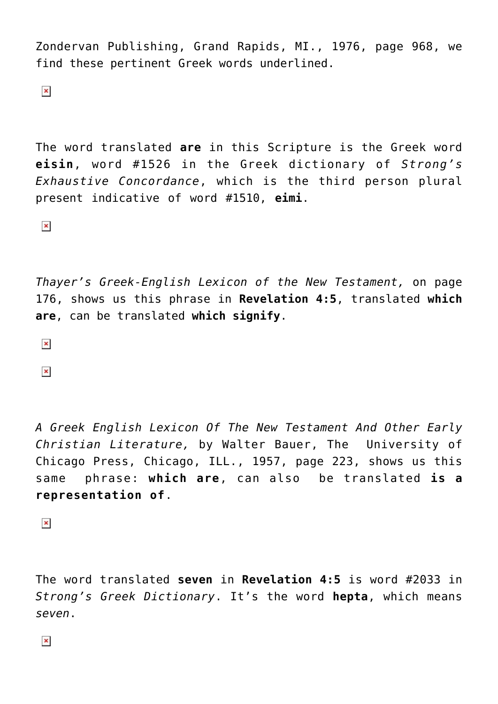Zondervan Publishing, Grand Rapids, MI., 1976, page 968, we find these pertinent Greek words underlined.

 $\pmb{\times}$ 

The word translated **are** in this Scripture is the Greek word **eisin**, word #1526 in the Greek dictionary of *Strong's Exhaustive Concordance*, which is the third person plural present indicative of word #1510, **eimi**.

 $\pmb{\times}$ 

*Thayer's Greek-English Lexicon of the New Testament,* on page 176, shows us this phrase in **Revelation 4:5**, translated **which are**, can be translated **which signify**.

 $\pmb{\times}$ 

 $\pmb{\times}$ 

*A Greek English Lexicon Of The New Testament And Other Early Christian Literature,* by Walter Bauer, The University of Chicago Press, Chicago, ILL., 1957, page 223, shows us this same phrase: **which are**, can also be translated **is a representation of**.

 $\pmb{\times}$ 

The word translated **seven** in **Revelation 4:5** is word #2033 in *Strong's Greek Dictionary*. It's the word **hepta**, which means *seven*.

 $\pmb{\times}$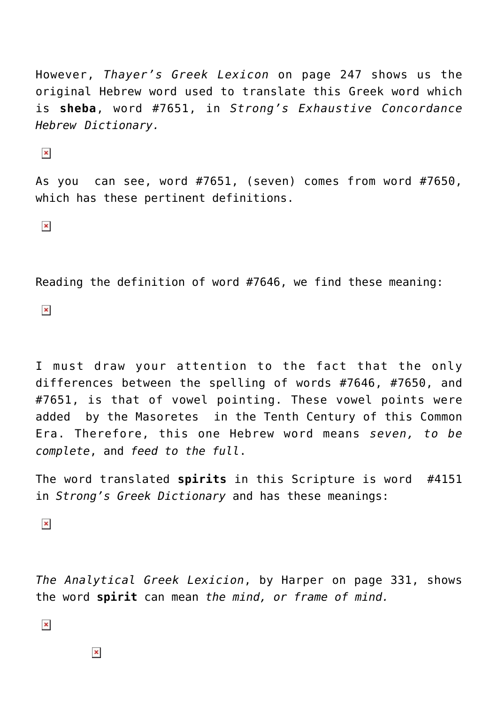However, *Thayer's Greek Lexicon* on page 247 shows us the original Hebrew word used to translate this Greek word which is **sheba**, word #7651, in *Strong's Exhaustive Concordance Hebrew Dictionary.*

 $\pmb{\times}$ 

As you can see, word #7651, (seven) comes from word #7650, which has these pertinent definitions.

 $\pmb{\times}$ 

Reading the definition of word #7646, we find these meaning:

 $\pmb{\times}$ 

I must draw your attention to the fact that the only differences between the spelling of words #7646, #7650, and #7651, is that of vowel pointing. These vowel points were added by the Masoretes in the Tenth Century of this Common Era. Therefore, this one Hebrew word means *seven, to be complete*, and *feed to the full*.

The word translated **spirits** in this Scripture is word #4151 in *Strong's Greek Dictionary* and has these meanings:

 $\pmb{\times}$ 

*The Analytical Greek Lexicion*, by Harper on page 331, shows the word **spirit** can mean *the mind, or frame of mind.*

 $\pmb{\times}$ 

 $\pmb{\times}$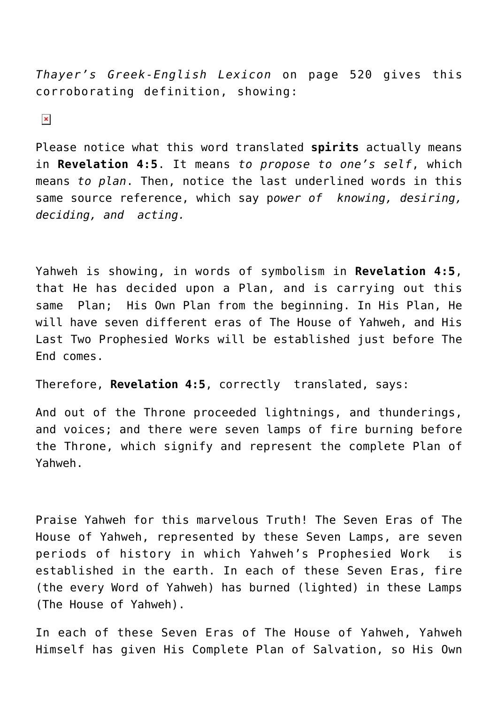*Thayer's Greek-English Lexicon* on page 520 gives this corroborating definition, showing:

 $\pmb{\times}$ 

Please notice what this word translated **spirits** actually means in **Revelation 4:5**. It means *to propose to one's self*, which means *to plan*. Then, notice the last underlined words in this same source reference, which say p*ower of knowing, desiring, deciding, and acting.*

Yahweh is showing, in words of symbolism in **Revelation 4:5**, that He has decided upon a Plan, and is carrying out this same Plan; His Own Plan from the beginning. In His Plan, He will have seven different eras of The House of Yahweh, and His Last Two Prophesied Works will be established just before The End comes.

Therefore, **Revelation 4:5**, correctly translated, says:

And out of the Throne proceeded lightnings, and thunderings, and voices; and there were seven lamps of fire burning before the Throne, which signify and represent the complete Plan of Yahweh.

Praise Yahweh for this marvelous Truth! The Seven Eras of The House of Yahweh, represented by these Seven Lamps, are seven periods of history in which Yahweh's Prophesied Work is established in the earth. In each of these Seven Eras, fire (the every Word of Yahweh) has burned (lighted) in these Lamps (The House of Yahweh).

In each of these Seven Eras of The House of Yahweh, Yahweh Himself has given His Complete Plan of Salvation, so His Own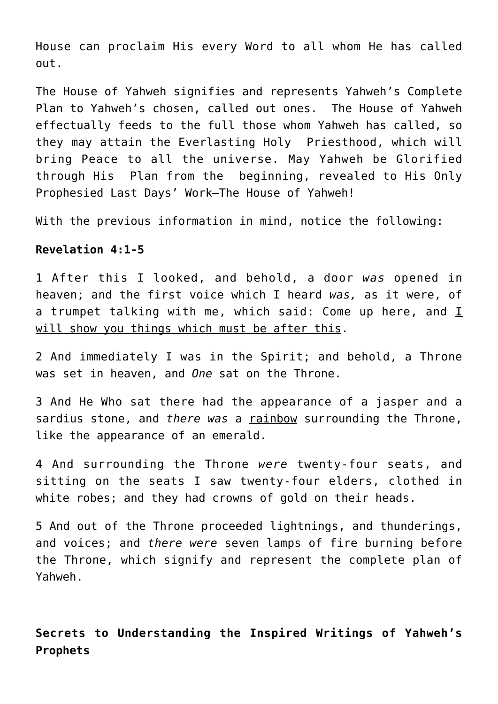House can proclaim His every Word to all whom He has called out.

The House of Yahweh signifies and represents Yahweh's Complete Plan to Yahweh's chosen, called out ones. The House of Yahweh effectually feeds to the full those whom Yahweh has called, so they may attain the Everlasting Holy Priesthood, which will bring Peace to all the universe. May Yahweh be Glorified through His Plan from the beginning, revealed to His Only Prophesied Last Days' Work—The House of Yahweh!

With the previous information in mind, notice the following:

# **Revelation 4:1-5**

1 After this I looked, and behold, a door *was* opened in heaven; and the first voice which I heard *was,* as it were, of a trumpet talking with me, which said: Come up here, and I will show you things which must be after this.

2 And immediately I was in the Spirit; and behold, a Throne was set in heaven, and *One* sat on the Throne.

3 And He Who sat there had the appearance of a jasper and a sardius stone, and *there was* a rainbow surrounding the Throne, like the appearance of an emerald.

4 And surrounding the Throne *were* twenty-four seats, and sitting on the seats I saw twenty-four elders, clothed in white robes; and they had crowns of gold on their heads.

5 And out of the Throne proceeded lightnings, and thunderings, and voices; and *there were* seven lamps of fire burning before the Throne, which signify and represent the complete plan of Yahweh.

**Secrets to Understanding the Inspired Writings of Yahweh's Prophets**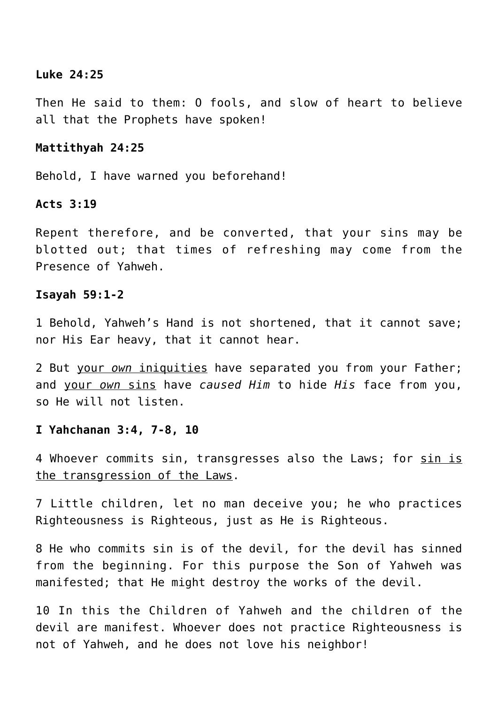## **Luke 24:25**

Then He said to them: O fools, and slow of heart to believe all that the Prophets have spoken!

## **Mattithyah 24:25**

Behold, I have warned you beforehand!

## **Acts 3:19**

Repent therefore, and be converted, that your sins may be blotted out; that times of refreshing may come from the Presence of Yahweh.

## **Isayah 59:1-2**

1 Behold, Yahweh's Hand is not shortened, that it cannot save; nor His Ear heavy, that it cannot hear.

2 But your *own* iniquities have separated you from your Father; and your *own* sins have *caused Him* to hide *His* face from you, so He will not listen.

#### **I Yahchanan 3:4, 7-8, 10**

4 Whoever commits sin, transgresses also the Laws; for sin is the transgression of the Laws.

7 Little children, let no man deceive you; he who practices Righteousness is Righteous, just as He is Righteous.

8 He who commits sin is of the devil, for the devil has sinned from the beginning. For this purpose the Son of Yahweh was manifested; that He might destroy the works of the devil.

10 In this the Children of Yahweh and the children of the devil are manifest. Whoever does not practice Righteousness is not of Yahweh, and he does not love his neighbor!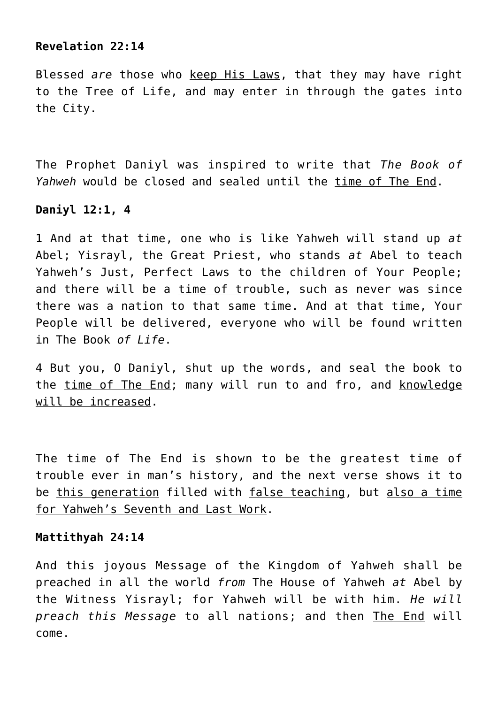# **Revelation 22:14**

Blessed *are* those who keep His Laws, that they may have right to the Tree of Life, and may enter in through the gates into the City.

The Prophet Daniyl was inspired to write that *The Book of Yahweh* would be closed and sealed until the time of The End.

# **Daniyl 12:1, 4**

1 And at that time, one who is like Yahweh will stand up *at* Abel; Yisrayl, the Great Priest, who stands *at* Abel to teach Yahweh's Just, Perfect Laws to the children of Your People; and there will be a time of trouble, such as never was since there was a nation to that same time. And at that time, Your People will be delivered, everyone who will be found written in The Book *of Life*.

4 But you, O Daniyl, shut up the words, and seal the book to the time of The End; many will run to and fro, and knowledge will be increased.

The time of The End is shown to be the greatest time of trouble ever in man's history, and the next verse shows it to be this generation filled with false teaching, but also a time for Yahweh's Seventh and Last Work.

## **Mattithyah 24:14**

And this joyous Message of the Kingdom of Yahweh shall be preached in all the world *from* The House of Yahweh *at* Abel by the Witness Yisrayl; for Yahweh will be with him. *He will preach this Message* to all nations; and then The End will come.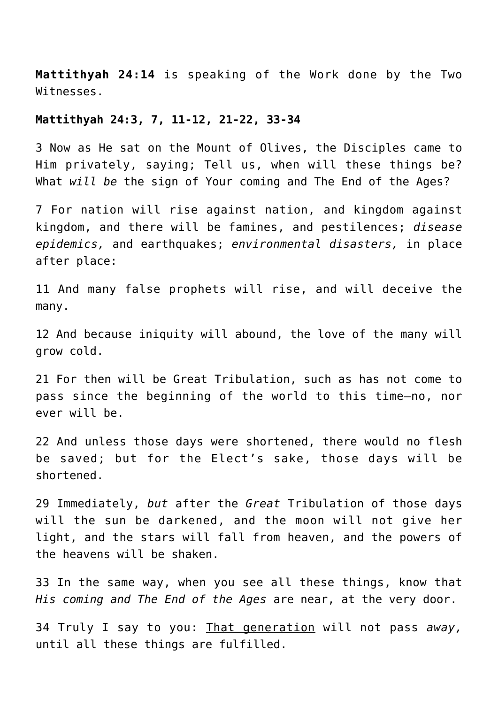**Mattithyah 24:14** is speaking of the Work done by the Two Witnesses.

# **Mattithyah 24:3, 7, 11-12, 21-22, 33-34**

3 Now as He sat on the Mount of Olives, the Disciples came to Him privately, saying; Tell us, when will these things be? What *will be* the sign of Your coming and The End of the Ages?

7 For nation will rise against nation, and kingdom against kingdom, and there will be famines, and pestilences; *disease epidemics,* and earthquakes; *environmental disasters,* in place after place:

11 And many false prophets will rise, and will deceive the many.

12 And because iniquity will abound, the love of the many will grow cold.

21 For then will be Great Tribulation, such as has not come to pass since the beginning of the world to this time—no, nor ever will be.

22 And unless those days were shortened, there would no flesh be saved; but for the Elect's sake, those days will be shortened.

29 Immediately, *but* after the *Great* Tribulation of those days will the sun be darkened, and the moon will not give her light, and the stars will fall from heaven, and the powers of the heavens will be shaken.

33 In the same way, when you see all these things, know that *His coming and The End of the Ages* are near, at the very door.

34 Truly I say to you: That generation will not pass *away,* until all these things are fulfilled.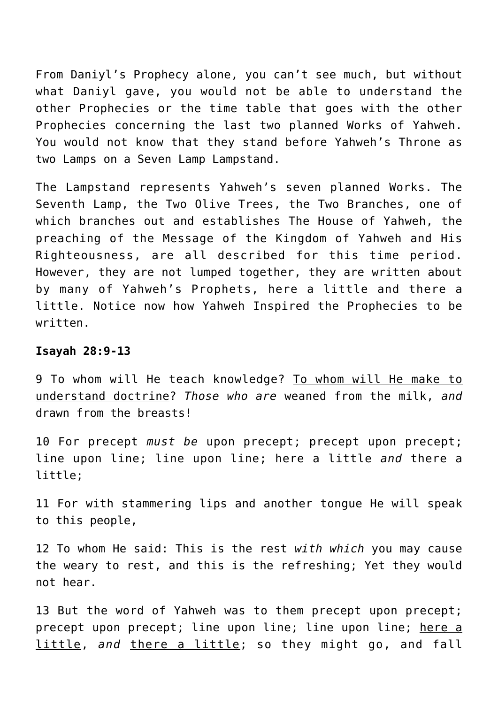From Daniyl's Prophecy alone, you can't see much, but without what Daniyl gave, you would not be able to understand the other Prophecies or the time table that goes with the other Prophecies concerning the last two planned Works of Yahweh. You would not know that they stand before Yahweh's Throne as two Lamps on a Seven Lamp Lampstand.

The Lampstand represents Yahweh's seven planned Works. The Seventh Lamp, the Two Olive Trees, the Two Branches, one of which branches out and establishes The House of Yahweh, the preaching of the Message of the Kingdom of Yahweh and His Righteousness, are all described for this time period. However, they are not lumped together, they are written about by many of Yahweh's Prophets, here a little and there a little. Notice now how Yahweh Inspired the Prophecies to be written.

#### **Isayah 28:9-13**

9 To whom will He teach knowledge? To whom will He make to understand doctrine? *Those who are* weaned from the milk, *and* drawn from the breasts!

10 For precept *must be* upon precept; precept upon precept; line upon line; line upon line; here a little *and* there a little;

11 For with stammering lips and another tongue He will speak to this people,

12 To whom He said: This is the rest *with which* you may cause the weary to rest, and this is the refreshing; Yet they would not hear.

13 But the word of Yahweh was to them precept upon precept; precept upon precept; line upon line; line upon line; here a little, *and* there a little; so they might go, and fall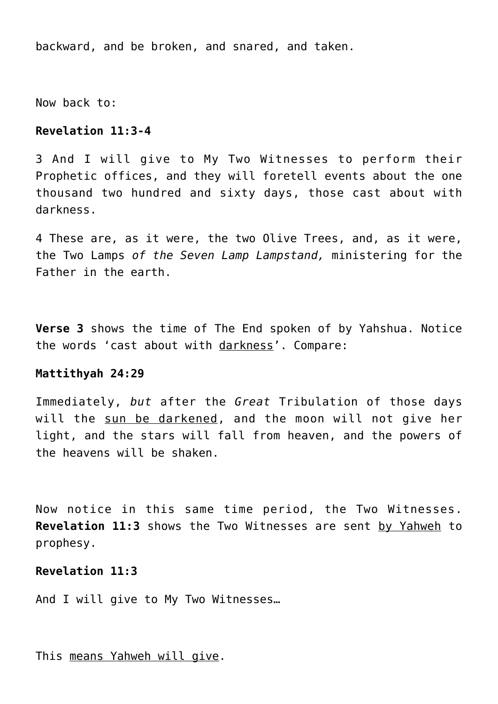backward, and be broken, and snared, and taken.

Now back to:

## **Revelation 11:3-4**

3 And I will give to My Two Witnesses to perform their Prophetic offices, and they will foretell events about the one thousand two hundred and sixty days, those cast about with darkness.

4 These are, as it were, the two Olive Trees, and, as it were, the Two Lamps *of the Seven Lamp Lampstand,* ministering for the Father in the earth.

**Verse 3** shows the time of The End spoken of by Yahshua. Notice the words 'cast about with darkness'. Compare:

## **Mattithyah 24:29**

Immediately, *but* after the *Great* Tribulation of those days will the sun be darkened, and the moon will not give her light, and the stars will fall from heaven, and the powers of the heavens will be shaken.

Now notice in this same time period, the Two Witnesses. **Revelation 11:3** shows the Two Witnesses are sent by Yahweh to prophesy.

# **Revelation 11:3**

And I will give to My Two Witnesses…

This means Yahweh will give.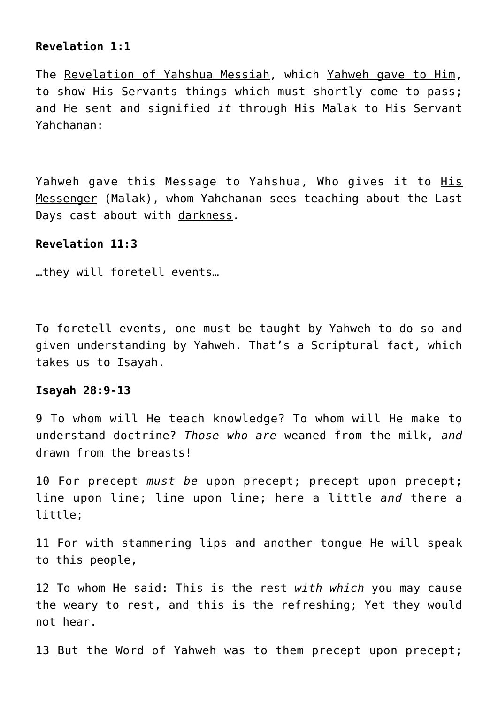# **Revelation 1:1**

The Revelation of Yahshua Messiah, which Yahweh gave to Him, to show His Servants things which must shortly come to pass; and He sent and signified *it* through His Malak to His Servant Yahchanan:

Yahweh gave this Message to Yahshua, Who gives it to His Messenger (Malak), whom Yahchanan sees teaching about the Last Days cast about with darkness.

## **Revelation 11:3**

…they will foretell events…

To foretell events, one must be taught by Yahweh to do so and given understanding by Yahweh. That's a Scriptural fact, which takes us to Isayah.

## **Isayah 28:9-13**

9 To whom will He teach knowledge? To whom will He make to understand doctrine? *Those who are* weaned from the milk, *and* drawn from the breasts!

10 For precept *must be* upon precept; precept upon precept; line upon line; line upon line; here a little *and* there a little;

11 For with stammering lips and another tongue He will speak to this people,

12 To whom He said: This is the rest *with which* you may cause the weary to rest, and this is the refreshing; Yet they would not hear.

13 But the Word of Yahweh was to them precept upon precept;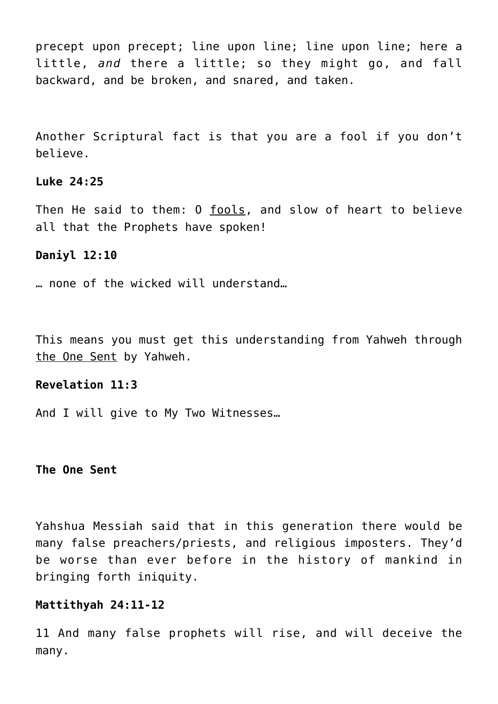precept upon precept; line upon line; line upon line; here a little, *and* there a little; so they might go, and fall backward, and be broken, and snared, and taken.

Another Scriptural fact is that you are a fool if you don't believe.

## **Luke 24:25**

Then He said to them: 0 fools, and slow of heart to believe all that the Prophets have spoken!

## **Daniyl 12:10**

… none of the wicked will understand…

This means you must get this understanding from Yahweh through the One Sent by Yahweh.

# **Revelation 11:3**

And I will give to My Two Witnesses…

#### **The One Sent**

Yahshua Messiah said that in this generation there would be many false preachers/priests, and religious imposters. They'd be worse than ever before in the history of mankind in bringing forth iniquity.

# **Mattithyah 24:11-12**

11 And many false prophets will rise, and will deceive the many.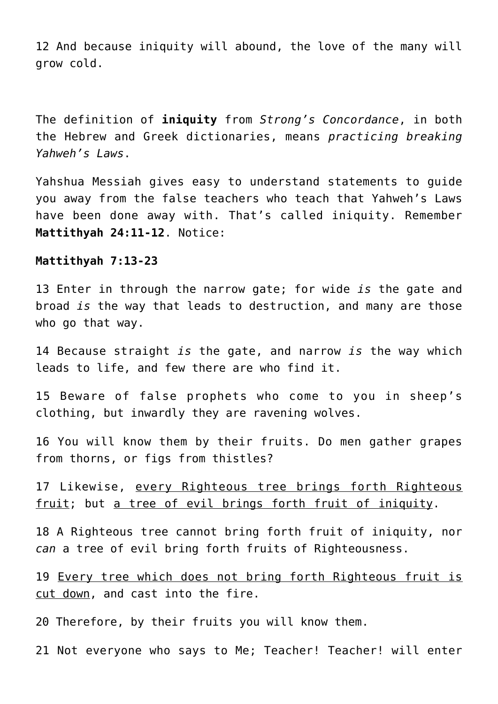12 And because iniquity will abound, the love of the many will grow cold.

The definition of **iniquity** from *Strong's Concordance*, in both the Hebrew and Greek dictionaries, means *practicing breaking Yahweh's Laws*.

Yahshua Messiah gives easy to understand statements to guide you away from the false teachers who teach that Yahweh's Laws have been done away with. That's called iniquity. Remember **Mattithyah 24:11-12**. Notice:

#### **Mattithyah 7:13-23**

13 Enter in through the narrow gate; for wide *is* the gate and broad *is* the way that leads to destruction, and many are those who go that way.

14 Because straight *is* the gate, and narrow *is* the way which leads to life, and few there are who find it.

15 Beware of false prophets who come to you in sheep's clothing, but inwardly they are ravening wolves.

16 You will know them by their fruits. Do men gather grapes from thorns, or figs from thistles?

17 Likewise, every Righteous tree brings forth Righteous fruit; but a tree of evil brings forth fruit of iniquity.

18 A Righteous tree cannot bring forth fruit of iniquity, nor *can* a tree of evil bring forth fruits of Righteousness.

19 Every tree which does not bring forth Righteous fruit is cut down, and cast into the fire.

20 Therefore, by their fruits you will know them.

21 Not everyone who says to Me; Teacher! Teacher! will enter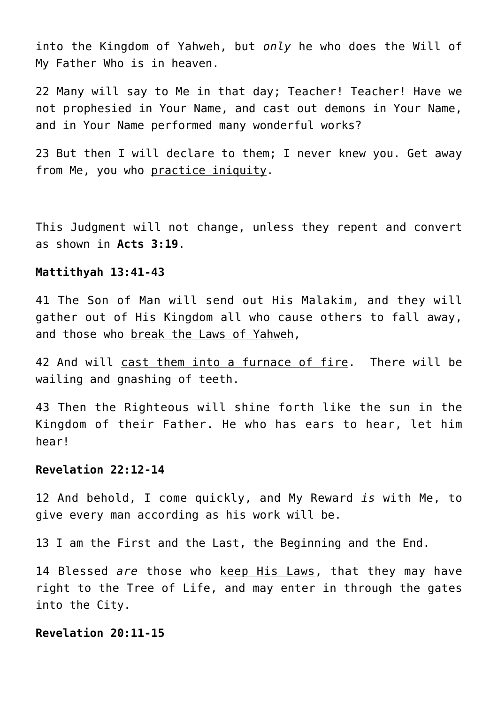into the Kingdom of Yahweh, but *only* he who does the Will of My Father Who is in heaven.

22 Many will say to Me in that day; Teacher! Teacher! Have we not prophesied in Your Name, and cast out demons in Your Name, and in Your Name performed many wonderful works?

23 But then I will declare to them; I never knew you. Get away from Me, you who practice iniquity.

This Judgment will not change, unless they repent and convert as shown in **Acts 3:19**.

## **Mattithyah 13:41-43**

41 The Son of Man will send out His Malakim, and they will gather out of His Kingdom all who cause others to fall away, and those who break the Laws of Yahweh,

42 And will cast them into a furnace of fire. There will be wailing and gnashing of teeth.

43 Then the Righteous will shine forth like the sun in the Kingdom of their Father. He who has ears to hear, let him hear!

## **Revelation 22:12-14**

12 And behold, I come quickly, and My Reward *is* with Me, to give every man according as his work will be.

13 I am the First and the Last, the Beginning and the End.

14 Blessed *are* those who keep His Laws, that they may have right to the Tree of Life, and may enter in through the gates into the City.

## **Revelation 20:11-15**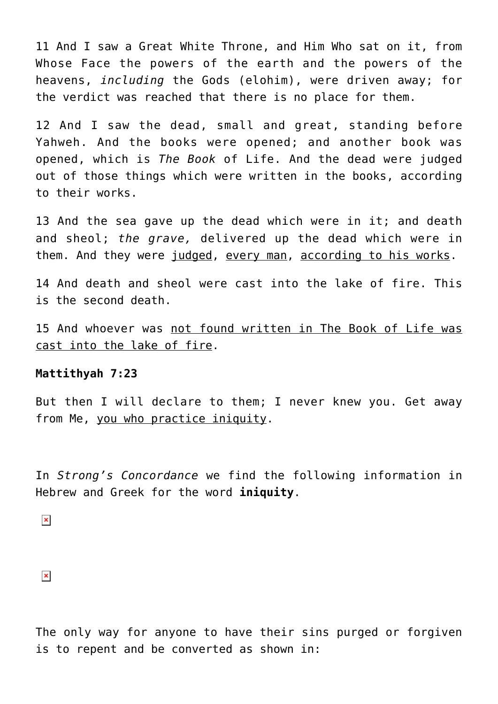11 And I saw a Great White Throne, and Him Who sat on it, from Whose Face the powers of the earth and the powers of the heavens, *including* the Gods (elohim), were driven away; for the verdict was reached that there is no place for them.

12 And I saw the dead, small and great, standing before Yahweh. And the books were opened; and another book was opened, which is *The Book* of Life. And the dead were judged out of those things which were written in the books, according to their works.

13 And the sea gave up the dead which were in it; and death and sheol; *the grave,* delivered up the dead which were in them. And they were judged, every man, according to his works.

14 And death and sheol were cast into the lake of fire. This is the second death.

15 And whoever was not found written in The Book of Life was cast into the lake of fire.

# **Mattithyah 7:23**

But then I will declare to them; I never knew you. Get away from Me, you who practice iniquity.

In *Strong's Concordance* we find the following information in Hebrew and Greek for the word **iniquity**.

 $\pmb{\times}$ 

 $\pmb{\times}$ 

The only way for anyone to have their sins purged or forgiven is to repent and be converted as shown in: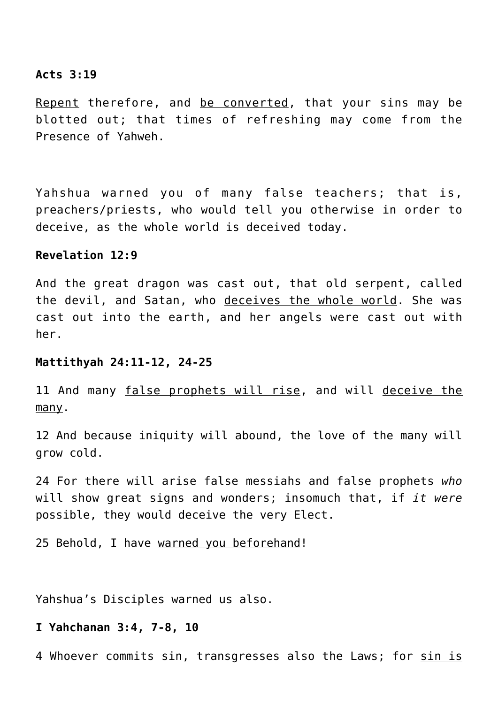## **Acts 3:19**

Repent therefore, and be converted, that your sins may be blotted out; that times of refreshing may come from the Presence of Yahweh.

Yahshua warned you of many false teachers; that is, preachers/priests, who would tell you otherwise in order to deceive, as the whole world is deceived today.

# **Revelation 12:9**

And the great dragon was cast out, that old serpent, called the devil, and Satan, who deceives the whole world. She was cast out into the earth, and her angels were cast out with her.

#### **Mattithyah 24:11-12, 24-25**

11 And many false prophets will rise, and will deceive the many.

12 And because iniquity will abound, the love of the many will grow cold.

24 For there will arise false messiahs and false prophets *who* will show great signs and wonders; insomuch that, if *it were* possible, they would deceive the very Elect.

25 Behold, I have warned you beforehand!

Yahshua's Disciples warned us also.

# **I Yahchanan 3:4, 7-8, 10**

4 Whoever commits sin, transgresses also the Laws; for sin is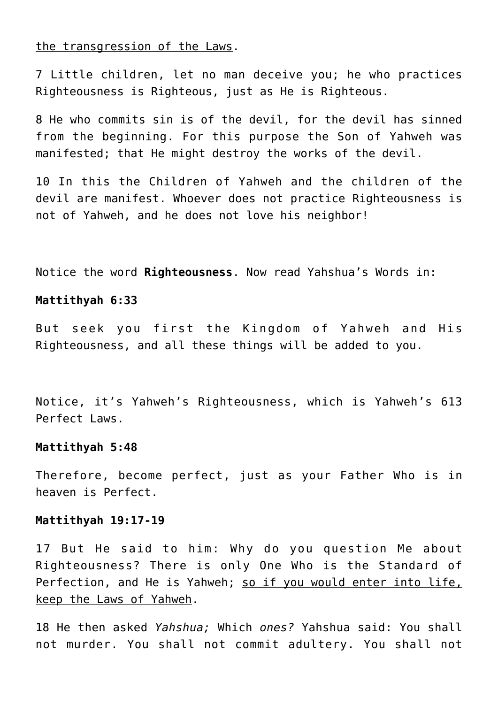the transgression of the Laws.

7 Little children, let no man deceive you; he who practices Righteousness is Righteous, just as He is Righteous.

8 He who commits sin is of the devil, for the devil has sinned from the beginning. For this purpose the Son of Yahweh was manifested; that He might destroy the works of the devil.

10 In this the Children of Yahweh and the children of the devil are manifest. Whoever does not practice Righteousness is not of Yahweh, and he does not love his neighbor!

Notice the word **Righteousness**. Now read Yahshua's Words in:

# **Mattithyah 6:33**

But seek you first the Kingdom of Yahweh and His Righteousness, and all these things will be added to you.

Notice, it's Yahweh's Righteousness, which is Yahweh's 613 Perfect Laws.

# **Mattithyah 5:48**

Therefore, become perfect, just as your Father Who is in heaven is Perfect.

# **Mattithyah 19:17-19**

17 But He said to him: Why do you question Me about Righteousness? There is only One Who is the Standard of Perfection, and He is Yahweh; so if you would enter into life, keep the Laws of Yahweh.

18 He then asked *Yahshua;* Which *ones?* Yahshua said: You shall not murder. You shall not commit adultery. You shall not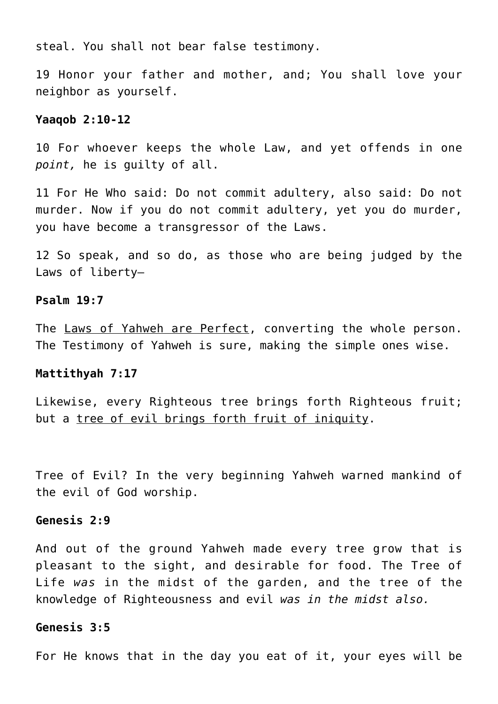steal. You shall not bear false testimony.

19 Honor your father and mother, and; You shall love your neighbor as yourself.

#### **Yaaqob 2:10-12**

10 For whoever keeps the whole Law, and yet offends in one *point,* he is guilty of all.

11 For He Who said: Do not commit adultery, also said: Do not murder. Now if you do not commit adultery, yet you do murder, you have become a transgressor of the Laws.

12 So speak, and so do, as those who are being judged by the Laws of liberty—

## **Psalm 19:7**

The Laws of Yahweh are Perfect, converting the whole person. The Testimony of Yahweh is sure, making the simple ones wise.

#### **Mattithyah 7:17**

Likewise, every Righteous tree brings forth Righteous fruit; but a tree of evil brings forth fruit of iniquity.

Tree of Evil? In the very beginning Yahweh warned mankind of the evil of God worship.

# **Genesis 2:9**

And out of the ground Yahweh made every tree grow that is pleasant to the sight, and desirable for food. The Tree of Life *was* in the midst of the garden, and the tree of the knowledge of Righteousness and evil *was in the midst also.*

#### **Genesis 3:5**

For He knows that in the day you eat of it, your eyes will be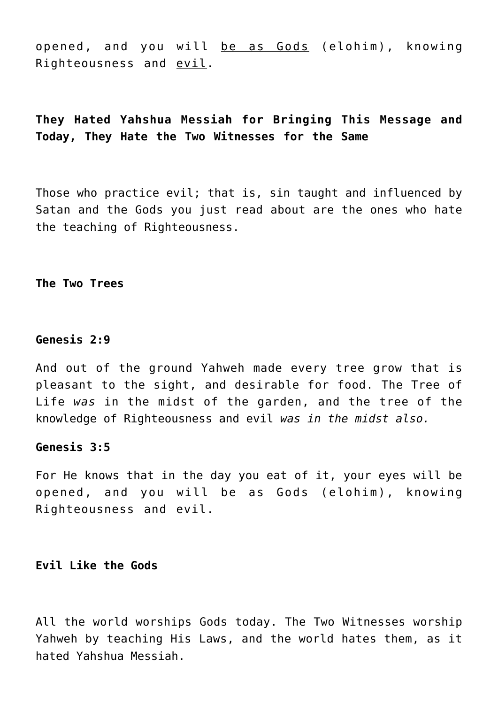opened, and you will be as Gods (elohim), knowing Righteousness and evil.

# **They Hated Yahshua Messiah for Bringing This Message and Today, They Hate the Two Witnesses for the Same**

Those who practice evil; that is, sin taught and influenced by Satan and the Gods you just read about are the ones who hate the teaching of Righteousness.

## **The Two Trees**

# **Genesis 2:9**

And out of the ground Yahweh made every tree grow that is pleasant to the sight, and desirable for food. The Tree of Life *was* in the midst of the garden, and the tree of the knowledge of Righteousness and evil *was in the midst also.*

## **Genesis 3:5**

For He knows that in the day you eat of it, your eyes will be opened, and you will be as Gods (elohim), knowing Righteousness and evil.

# **Evil Like the Gods**

All the world worships Gods today. The Two Witnesses worship Yahweh by teaching His Laws, and the world hates them, as it hated Yahshua Messiah.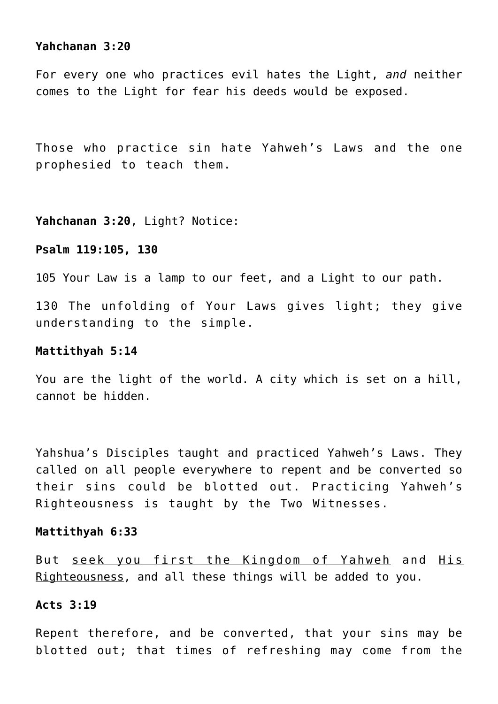## **Yahchanan 3:20**

For every one who practices evil hates the Light, *and* neither comes to the Light for fear his deeds would be exposed.

Those who practice sin hate Yahweh's Laws and the one prophesied to teach them.

#### **Yahchanan 3:20**, Light? Notice:

## **Psalm 119:105, 130**

105 Your Law is a lamp to our feet, and a Light to our path.

130 The unfolding of Your Laws gives light; they give understanding to the simple.

#### **Mattithyah 5:14**

You are the light of the world. A city which is set on a hill, cannot be hidden.

Yahshua's Disciples taught and practiced Yahweh's Laws. They called on all people everywhere to repent and be converted so their sins could be blotted out. Practicing Yahweh's Righteousness is taught by the Two Witnesses.

#### **Mattithyah 6:33**

But seek you first the Kingdom of Yahweh and His Righteousness, and all these things will be added to you.

## **Acts 3:19**

Repent therefore, and be converted, that your sins may be blotted out; that times of refreshing may come from the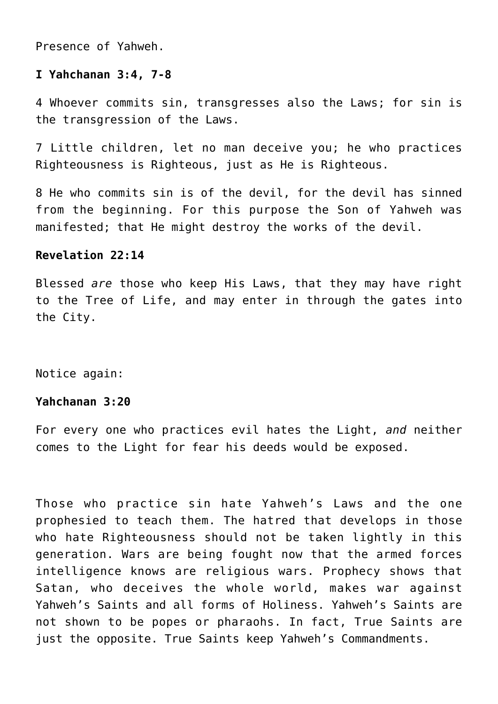Presence of Yahweh.

# **I Yahchanan 3:4, 7-8**

4 Whoever commits sin, transgresses also the Laws; for sin is the transgression of the Laws.

7 Little children, let no man deceive you; he who practices Righteousness is Righteous, just as He is Righteous.

8 He who commits sin is of the devil, for the devil has sinned from the beginning. For this purpose the Son of Yahweh was manifested; that He might destroy the works of the devil.

# **Revelation 22:14**

Blessed *are* those who keep His Laws, that they may have right to the Tree of Life, and may enter in through the gates into the City.

Notice again:

# **Yahchanan 3:20**

For every one who practices evil hates the Light, *and* neither comes to the Light for fear his deeds would be exposed.

Those who practice sin hate Yahweh's Laws and the one prophesied to teach them. The hatred that develops in those who hate Righteousness should not be taken lightly in this generation. Wars are being fought now that the armed forces intelligence knows are religious wars. Prophecy shows that Satan, who deceives the whole world, makes war against Yahweh's Saints and all forms of Holiness. Yahweh's Saints are not shown to be popes or pharaohs. In fact, True Saints are just the opposite. True Saints keep Yahweh's Commandments.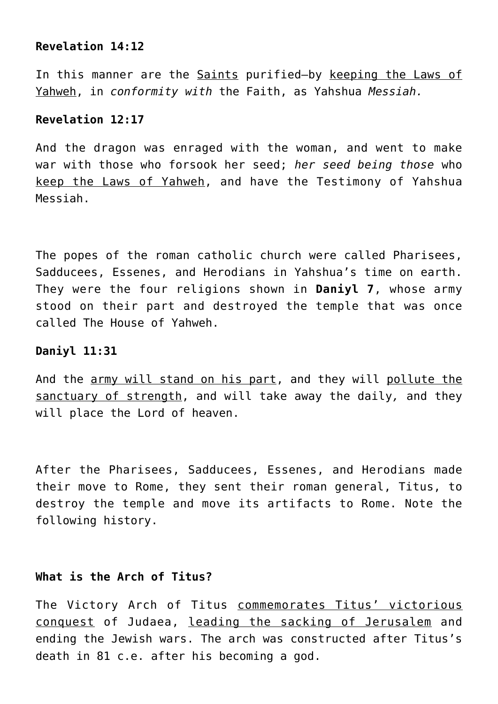# **Revelation 14:12**

In this manner are the Saints purified—by keeping the Laws of Yahweh, in *conformity with* the Faith, as Yahshua *Messiah.*

# **Revelation 12:17**

And the dragon was enraged with the woman, and went to make war with those who forsook her seed; *her seed being those* who keep the Laws of Yahweh, and have the Testimony of Yahshua Messiah.

The popes of the roman catholic church were called Pharisees, Sadducees, Essenes, and Herodians in Yahshua's time on earth. They were the four religions shown in **Daniyl 7**, whose army stood on their part and destroyed the temple that was once called The House of Yahweh.

## **Daniyl 11:31**

And the army will stand on his part, and they will pollute the sanctuary of strength, and will take away the daily*,* and they will place the Lord of heaven.

After the Pharisees, Sadducees, Essenes, and Herodians made their move to Rome, they sent their roman general, Titus, to destroy the temple and move its artifacts to Rome. Note the following history.

# **What is the Arch of Titus?**

The Victory Arch of Titus commemorates Titus' victorious conquest of Judaea, leading the sacking of Jerusalem and ending the Jewish wars. The arch was constructed after Titus's death in 81 c.e. after his becoming a god.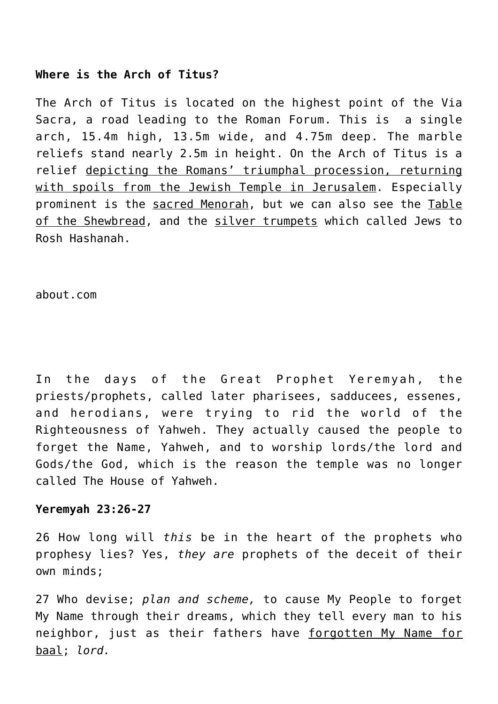# **Where is the Arch of Titus?**

The Arch of Titus is located on the highest point of the Via Sacra, a road leading to the Roman Forum. This is a single arch, 15.4m high, 13.5m wide, and 4.75m deep. The marble reliefs stand nearly 2.5m in height. On the Arch of Titus is a relief depicting the Romans' triumphal procession, returning with spoils from the Jewish Temple in Jerusalem. Especially prominent is the sacred Menorah, but we can also see the Table of the Shewbread, and the silver trumpets which called Jews to Rosh Hashanah.

about.com

In the days of the Great Prophet Yeremyah, the priests/prophets, called later pharisees, sadducees, essenes, and herodians, were trying to rid the world of the Righteousness of Yahweh. They actually caused the people to forget the Name, Yahweh, and to worship lords/the lord and Gods/the God, which is the reason the temple was no longer called The House of Yahweh.

# **Yeremyah 23:26-27**

26 How long will *this* be in the heart of the prophets who prophesy lies? Yes, *they are* prophets of the deceit of their own minds;

27 Who devise; *plan and scheme,* to cause My People to forget My Name through their dreams, which they tell every man to his neighbor, just as their fathers have forgotten My Name for baal; *lord.*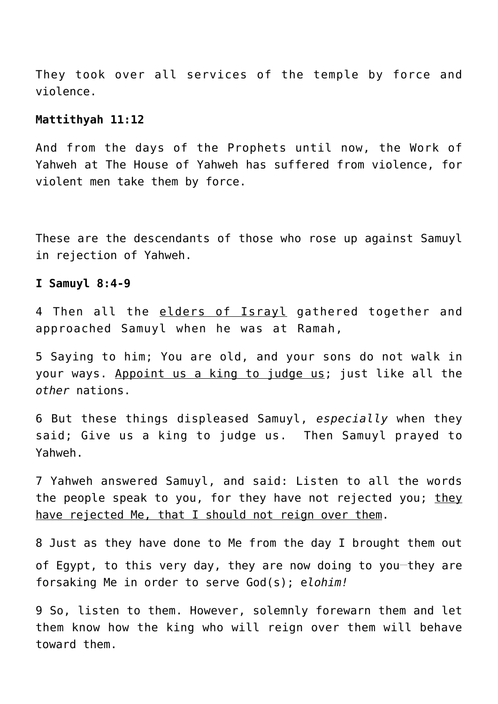They took over all services of the temple by force and violence.

#### **Mattithyah 11:12**

And from the days of the Prophets until now, the Work of Yahweh at The House of Yahweh has suffered from violence, for violent men take them by force.

These are the descendants of those who rose up against Samuyl in rejection of Yahweh.

# **I Samuyl 8:4-9**

4 Then all the elders of Israyl gathered together and approached Samuyl when he was at Ramah,

5 Saying to him; You are old, and your sons do not walk in your ways. Appoint us a king to judge us; just like all the *other* nations.

6 But these things displeased Samuyl, *especially* when they said; Give us a king to judge us. Then Samuyl prayed to Yahweh.

7 Yahweh answered Samuyl, and said: Listen to all the words the people speak to you, for they have not rejected you; they have rejected Me, that I should not reign over them.

8 Just as they have done to Me from the day I brought them out of Egypt, to this very day, they are now doing to you-they are forsaking Me in order to serve God(s); e*lohim!*

9 So, listen to them. However, solemnly forewarn them and let them know how the king who will reign over them will behave toward them.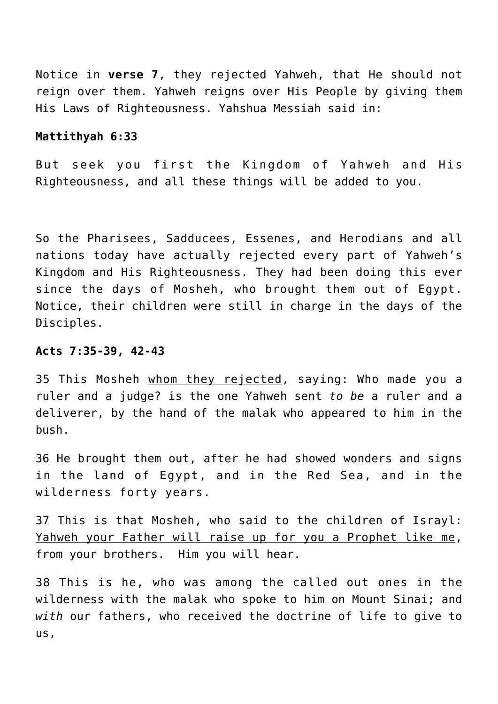Notice in **verse 7**, they rejected Yahweh, that He should not reign over them. Yahweh reigns over His People by giving them His Laws of Righteousness. Yahshua Messiah said in:

#### **Mattithyah 6:33**

But seek you first the Kingdom of Yahweh and His Righteousness, and all these things will be added to you.

So the Pharisees, Sadducees, Essenes, and Herodians and all nations today have actually rejected every part of Yahweh's Kingdom and His Righteousness. They had been doing this ever since the days of Mosheh, who brought them out of Egypt. Notice, their children were still in charge in the days of the Disciples.

#### **Acts 7:35-39, 42-43**

35 This Mosheh whom they rejected, saying: Who made you a ruler and a judge? is the one Yahweh sent *to be* a ruler and a deliverer, by the hand of the malak who appeared to him in the bush.

36 He brought them out, after he had showed wonders and signs in the land of Egypt, and in the Red Sea, and in the wilderness forty years.

37 This is that Mosheh, who said to the children of Israyl: Yahweh your Father will raise up for you a Prophet like me, from your brothers. Him you will hear.

38 This is he, who was among the called out ones in the wilderness with the malak who spoke to him on Mount Sinai; and *with* our fathers, who received the doctrine of life to give to us,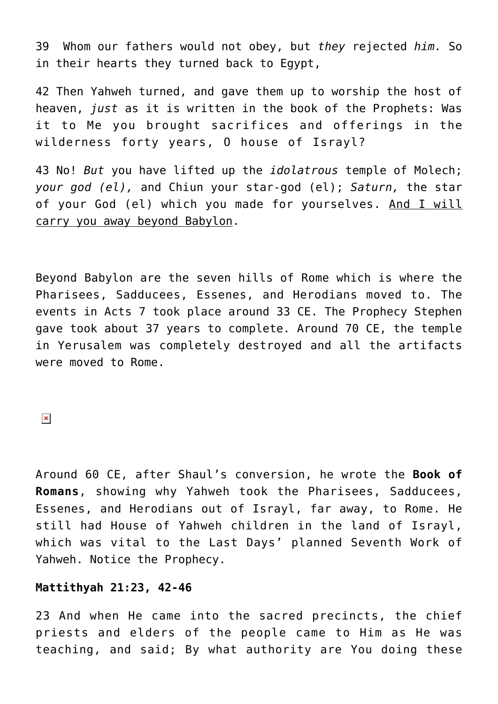39 Whom our fathers would not obey, but *they* rejected *him.* So in their hearts they turned back to Egypt,

42 Then Yahweh turned, and gave them up to worship the host of heaven, *just* as it is written in the book of the Prophets: Was it to Me you brought sacrifices and offerings in the wilderness forty years, O house of Israyl?

43 No! *But* you have lifted up the *idolatrous* temple of Molech; *your god (el),* and Chiun your star-god (el); *Saturn,* the star of your God (el) which you made for yourselves. And I will carry you away beyond Babylon.

Beyond Babylon are the seven hills of Rome which is where the Pharisees, Sadducees, Essenes, and Herodians moved to. The events in Acts 7 took place around 33 CE. The Prophecy Stephen gave took about 37 years to complete. Around 70 CE, the temple in Yerusalem was completely destroyed and all the artifacts were moved to Rome.

 $\pmb{\times}$ 

Around 60 CE, after Shaul's conversion, he wrote the **Book of Romans**, showing why Yahweh took the Pharisees, Sadducees, Essenes, and Herodians out of Israyl, far away, to Rome. He still had House of Yahweh children in the land of Israyl, which was vital to the Last Days' planned Seventh Work of Yahweh. Notice the Prophecy.

# **Mattithyah 21:23, 42-46**

23 And when He came into the sacred precincts, the chief priests and elders of the people came to Him as He was teaching, and said; By what authority are You doing these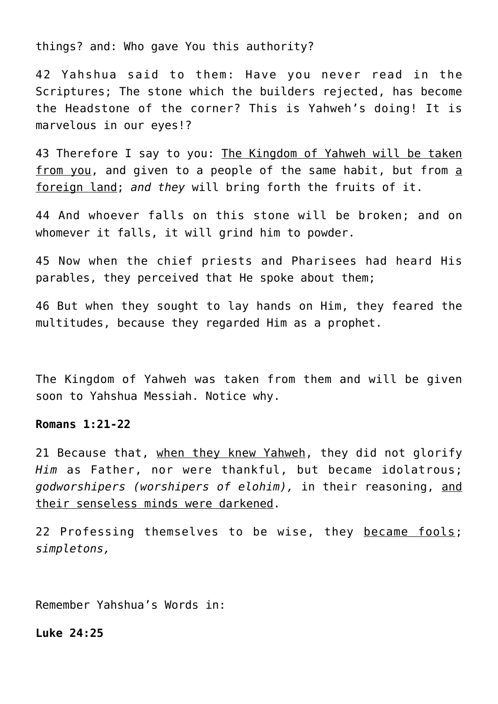things? and: Who gave You this authority?

42 Yahshua said to them: Have you never read in the Scriptures; The stone which the builders rejected, has become the Headstone of the corner? This is Yahweh's doing! It is marvelous in our eyes!?

43 Therefore I say to you: The Kingdom of Yahweh will be taken from you, and given to a people of the same habit, but from a foreign land; *and they* will bring forth the fruits of it.

44 And whoever falls on this stone will be broken; and on whomever it falls, it will grind him to powder.

45 Now when the chief priests and Pharisees had heard His parables, they perceived that He spoke about them;

46 But when they sought to lay hands on Him, they feared the multitudes, because they regarded Him as a prophet.

The Kingdom of Yahweh was taken from them and will be given soon to Yahshua Messiah. Notice why.

## **Romans 1:21-22**

21 Because that, when they knew Yahweh, they did not glorify *Him* as Father, nor were thankful, but became idolatrous; *godworshipers (worshipers of elohim),* in their reasoning, and their senseless minds were darkened.

22 Professing themselves to be wise, they became fools; *simpletons,*

Remember Yahshua's Words in:

# **Luke 24:25**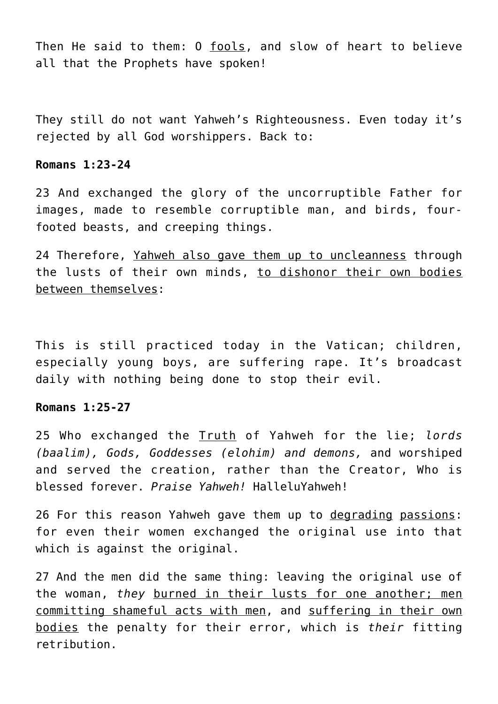Then He said to them: O fools, and slow of heart to believe all that the Prophets have spoken!

They still do not want Yahweh's Righteousness. Even today it's rejected by all God worshippers. Back to:

# **Romans 1:23-24**

23 And exchanged the glory of the uncorruptible Father for images, made to resemble corruptible man, and birds, fourfooted beasts, and creeping things.

24 Therefore, Yahweh also gave them up to uncleanness through the lusts of their own minds, to dishonor their own bodies between themselves:

This is still practiced today in the Vatican; children, especially young boys, are suffering rape. It's broadcast daily with nothing being done to stop their evil.

## **Romans 1:25-27**

25 Who exchanged the Truth of Yahweh for the lie; *lords (baalim), Gods, Goddesses (elohim) and demons,* and worshiped and served the creation, rather than the Creator, Who is blessed forever. *Praise Yahweh!* HalleluYahweh!

26 For this reason Yahweh gave them up to degrading passions: for even their women exchanged the original use into that which is against the original.

27 And the men did the same thing: leaving the original use of the woman, *they* burned in their lusts for one another; men committing shameful acts with men, and suffering in their own bodies the penalty for their error, which is *their* fitting retribution.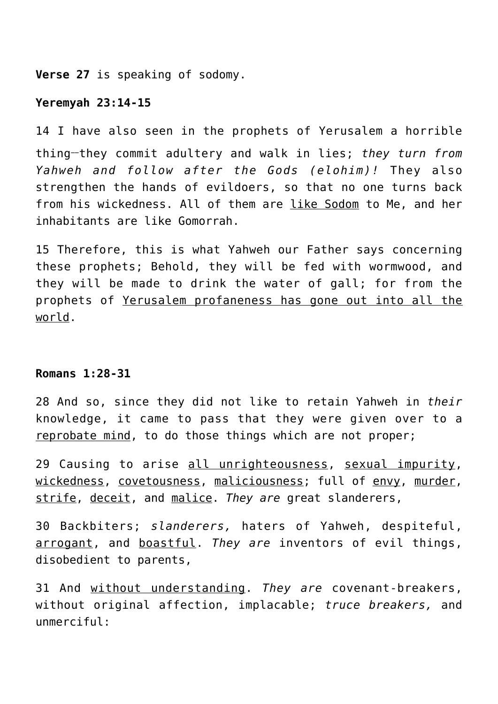**Verse 27** is speaking of sodomy.

# **Yeremyah 23:14-15**

14 I have also seen in the prophets of Yerusalem a horrible thing**\_\_**they commit adultery and walk in lies; *they turn from Yahweh and follow after the Gods (elohim)!* They also strengthen the hands of evildoers, so that no one turns back from his wickedness. All of them are like Sodom to Me, and her inhabitants are like Gomorrah.

15 Therefore, this is what Yahweh our Father says concerning these prophets; Behold, they will be fed with wormwood, and they will be made to drink the water of gall; for from the prophets of Yerusalem profaneness has gone out into all the world.

# **Romans 1:28-31**

28 And so, since they did not like to retain Yahweh in *their* knowledge, it came to pass that they were given over to a reprobate mind, to do those things which are not proper;

29 Causing to arise all unrighteousness, sexual impurity, wickedness, covetousness, maliciousness; full of envy, murder, strife, deceit, and malice. *They are* great slanderers,

30 Backbiters; *slanderers,* haters of Yahweh, despiteful, arrogant, and boastful. *They are* inventors of evil things, disobedient to parents,

31 And without understanding. *They are* covenant-breakers, without original affection, implacable; *truce breakers,* and unmerciful: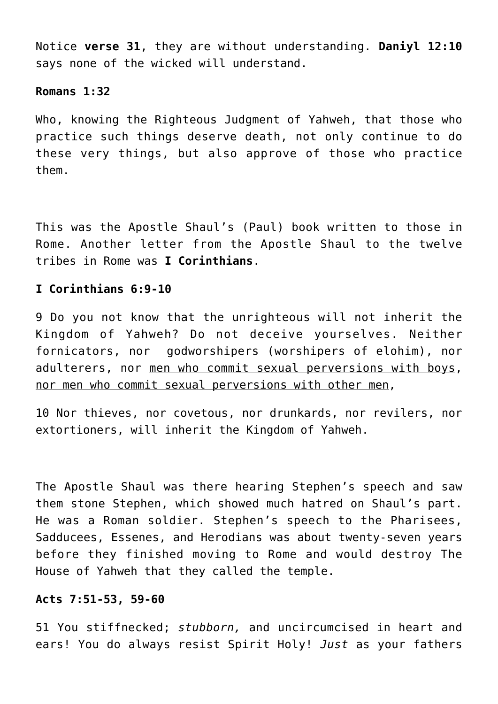Notice **verse 31**, they are without understanding. **Daniyl 12:10** says none of the wicked will understand.

## **Romans 1:32**

Who, knowing the Righteous Judgment of Yahweh, that those who practice such things deserve death, not only continue to do these very things, but also approve of those who practice them.

This was the Apostle Shaul's (Paul) book written to those in Rome. Another letter from the Apostle Shaul to the twelve tribes in Rome was **I Corinthians**.

# **I Corinthians 6:9-10**

9 Do you not know that the unrighteous will not inherit the Kingdom of Yahweh? Do not deceive yourselves. Neither fornicators, nor godworshipers (worshipers of elohim), nor adulterers, nor men who commit sexual perversions with boys, nor men who commit sexual perversions with other men,

10 Nor thieves, nor covetous, nor drunkards, nor revilers, nor extortioners, will inherit the Kingdom of Yahweh.

The Apostle Shaul was there hearing Stephen's speech and saw them stone Stephen, which showed much hatred on Shaul's part. He was a Roman soldier. Stephen's speech to the Pharisees, Sadducees, Essenes, and Herodians was about twenty-seven years before they finished moving to Rome and would destroy The House of Yahweh that they called the temple.

# **Acts 7:51-53, 59-60**

51 You stiffnecked; *stubborn,* and uncircumcised in heart and ears! You do always resist Spirit Holy! *Just* as your fathers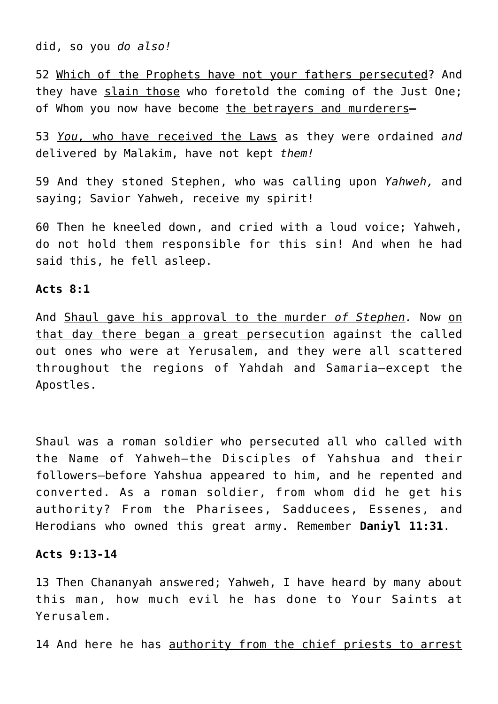did, so you *do also!*

52 Which of the Prophets have not your fathers persecuted? And they have slain those who foretold the coming of the Just One; of Whom you now have become the betrayers and murderers**—**

53 *You,* who have received the Laws as they were ordained *and* delivered by Malakim, have not kept *them!*

59 And they stoned Stephen, who was calling upon *Yahweh,* and saying; Savior Yahweh, receive my spirit!

60 Then he kneeled down, and cried with a loud voice; Yahweh, do not hold them responsible for this sin! And when he had said this, he fell asleep.

## **Acts 8:1**

And Shaul gave his approval to the murder *of Stephen.* Now on that day there began a great persecution against the called out ones who were at Yerusalem, and they were all scattered throughout the regions of Yahdah and Samaria—except the Apostles.

Shaul was a roman soldier who persecuted all who called with the Name of Yahweh–the Disciples of Yahshua and their followers–before Yahshua appeared to him, and he repented and converted. As a roman soldier, from whom did he get his authority? From the Pharisees, Sadducees, Essenes, and Herodians who owned this great army. Remember **Daniyl 11:31**.

# **Acts 9:13-14**

13 Then Chananyah answered; Yahweh, I have heard by many about this man, how much evil he has done to Your Saints at Yerusalem.

14 And here he has authority from the chief priests to arrest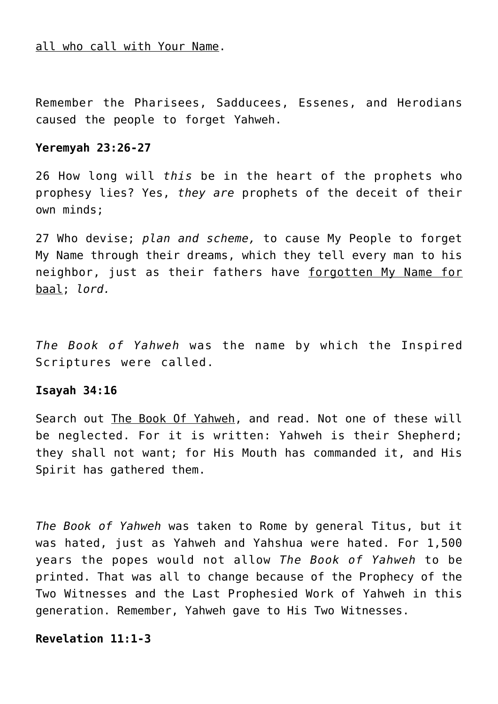all who call with Your Name.

Remember the Pharisees, Sadducees, Essenes, and Herodians caused the people to forget Yahweh.

# **Yeremyah 23:26-27**

26 How long will *this* be in the heart of the prophets who prophesy lies? Yes, *they are* prophets of the deceit of their own minds;

27 Who devise; *plan and scheme,* to cause My People to forget My Name through their dreams, which they tell every man to his neighbor, just as their fathers have forgotten My Name for baal; *lord.*

*The Book of Yahweh* was the name by which the Inspired Scriptures were called.

# **Isayah 34:16**

Search out The Book Of Yahweh, and read. Not one of these will be neglected. For it is written: Yahweh is their Shepherd; they shall not want; for His Mouth has commanded it, and His Spirit has gathered them.

*The Book of Yahweh* was taken to Rome by general Titus, but it was hated, just as Yahweh and Yahshua were hated. For 1,500 years the popes would not allow *The Book of Yahweh* to be printed. That was all to change because of the Prophecy of the Two Witnesses and the Last Prophesied Work of Yahweh in this generation. Remember, Yahweh gave to His Two Witnesses.

# **Revelation 11:1-3**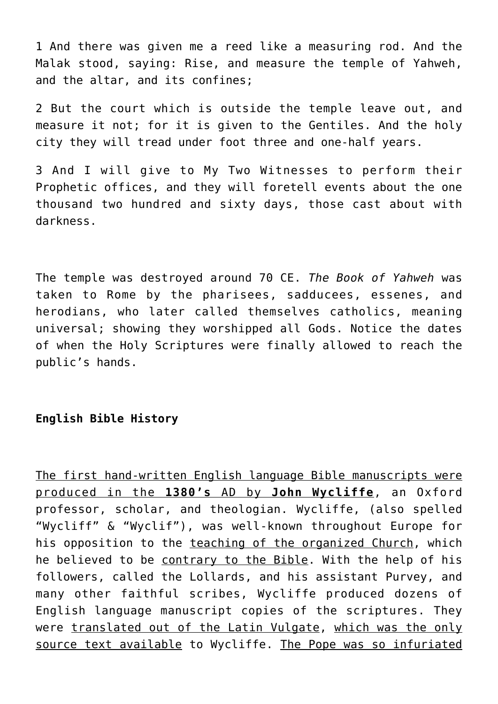1 And there was given me a reed like a measuring rod. And the Malak stood, saying: Rise, and measure the temple of Yahweh, and the altar, and its confines;

2 But the court which is outside the temple leave out, and measure it not; for it is given to the Gentiles. And the holy city they will tread under foot three and one-half years.

3 And I will give to My Two Witnesses to perform their Prophetic offices, and they will foretell events about the one thousand two hundred and sixty days, those cast about with darkness.

The temple was destroyed around 70 CE. *The Book of Yahweh* was taken to Rome by the pharisees, sadducees, essenes, and herodians, who later called themselves catholics, meaning universal; showing they worshipped all Gods. Notice the dates of when the Holy Scriptures were finally allowed to reach the public's hands.

# **English Bible History**

The first hand-written English language Bible manuscripts were produced in the **1380's** AD by **John Wycliffe**, an Oxford professor, scholar, and theologian. Wycliffe, (also spelled "Wycliff" & "Wyclif"), was well-known throughout Europe for his opposition to the teaching of the organized Church, which he believed to be contrary to the Bible. With the help of his followers, called the Lollards, and his assistant Purvey, and many other faithful scribes, Wycliffe produced dozens of English language manuscript copies of the scriptures. They were translated out of the Latin Vulgate, which was the only source text available to Wycliffe. The Pope was so infuriated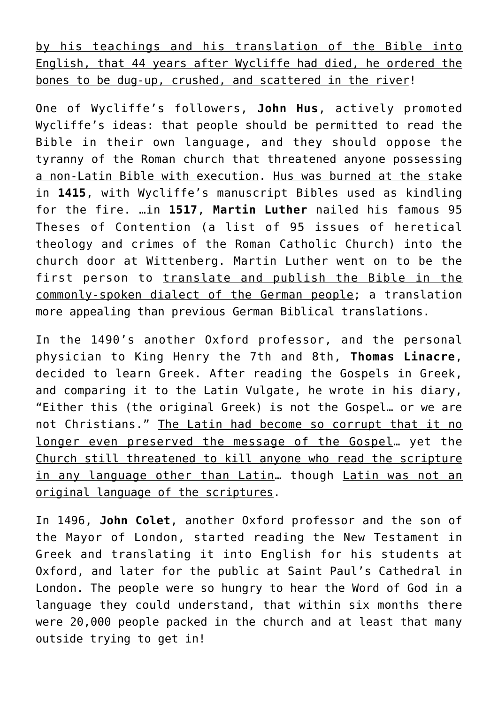by his teachings and his translation of the Bible into English, that 44 years after Wycliffe had died, he ordered the bones to be dug-up, crushed, and scattered in the river!

One of Wycliffe's followers, **John Hus**, actively promoted Wycliffe's ideas: that people should be permitted to read the Bible in their own language, and they should oppose the tyranny of the Roman church that threatened anyone possessing a non-Latin Bible with execution. Hus was burned at the stake in **1415**, with Wycliffe's manuscript Bibles used as kindling for the fire. …in **1517**, **Martin Luther** nailed his famous 95 Theses of Contention (a list of 95 issues of heretical theology and crimes of the Roman Catholic Church) into the church door at Wittenberg. Martin Luther went on to be the first person to translate and publish the Bible in the commonly-spoken dialect of the German people; a translation more appealing than previous German Biblical translations.

In the 1490's another Oxford professor, and the personal physician to King Henry the 7th and 8th, **Thomas Linacre**, decided to learn Greek. After reading the Gospels in Greek, and comparing it to the Latin Vulgate, he wrote in his diary, "Either this (the original Greek) is not the Gospel… or we are not Christians." The Latin had become so corrupt that it no longer even preserved the message of the Gospel… yet the Church still threatened to kill anyone who read the scripture in any language other than Latin... though Latin was not an original language of the scriptures.

In 1496, **John Colet**, another Oxford professor and the son of the Mayor of London, started reading the New Testament in Greek and translating it into English for his students at Oxford, and later for the public at Saint Paul's Cathedral in London. The people were so hungry to hear the Word of God in a language they could understand, that within six months there were 20,000 people packed in the church and at least that many outside trying to get in!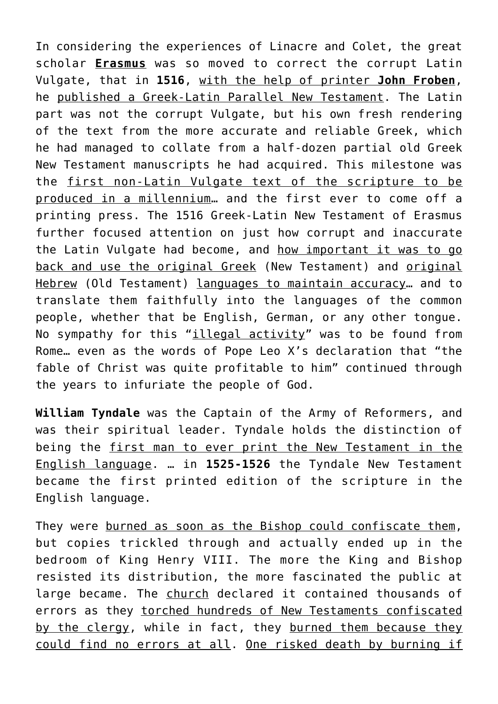In considering the experiences of Linacre and Colet, the great scholar **Erasmus** was so moved to correct the corrupt Latin Vulgate, that in **1516**, with the help of printer **John Froben**, he published a Greek-Latin Parallel New Testament. The Latin part was not the corrupt Vulgate, but his own fresh rendering of the text from the more accurate and reliable Greek, which he had managed to collate from a half-dozen partial old Greek New Testament manuscripts he had acquired. This milestone was the first non-Latin Vulgate text of the scripture to be produced in a millennium… and the first ever to come off a printing press. The 1516 Greek-Latin New Testament of Erasmus further focused attention on just how corrupt and inaccurate the Latin Vulgate had become, and how important it was to go back and use the original Greek (New Testament) and original Hebrew (Old Testament) languages to maintain accuracy… and to translate them faithfully into the languages of the common people, whether that be English, German, or any other tongue. No sympathy for this "illegal activity" was to be found from Rome… even as the words of Pope Leo X's declaration that "the fable of Christ was quite profitable to him" continued through the years to infuriate the people of God.

**William Tyndale** was the Captain of the Army of Reformers, and was their spiritual leader. Tyndale holds the distinction of being the first man to ever print the New Testament in the English language. … in **1525-1526** the Tyndale New Testament became the first printed edition of the scripture in the English language.

They were burned as soon as the Bishop could confiscate them, but copies trickled through and actually ended up in the bedroom of King Henry VIII. The more the King and Bishop resisted its distribution, the more fascinated the public at large became. The church declared it contained thousands of errors as they torched hundreds of New Testaments confiscated by the clergy, while in fact, they burned them because they could find no errors at all. One risked death by burning if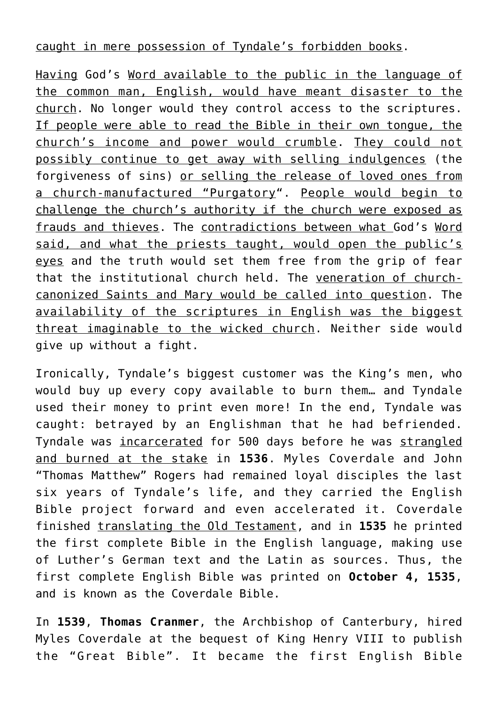caught in mere possession of Tyndale's forbidden books.

Having God's Word available to the public in the language of the common man, English, would have meant disaster to the church. No longer would they control access to the scriptures. If people were able to read the Bible in their own tongue, the church's income and power would crumble. They could not possibly continue to get away with selling indulgences (the forgiveness of sins) or selling the release of loved ones from a church-manufactured "Purgatory". People would begin to challenge the church's authority if the church were exposed as frauds and thieves. The contradictions between what God's Word said, and what the priests taught, would open the public's eyes and the truth would set them free from the grip of fear that the institutional church held. The veneration of churchcanonized Saints and Mary would be called into question. The availability of the scriptures in English was the biggest threat imaginable to the wicked church. Neither side would give up without a fight.

Ironically, Tyndale's biggest customer was the King's men, who would buy up every copy available to burn them… and Tyndale used their money to print even more! In the end, Tyndale was caught: betrayed by an Englishman that he had befriended. Tyndale was *incarcerated* for 500 days before he was strangled and burned at the stake in **1536**. Myles Coverdale and John "Thomas Matthew" Rogers had remained loyal disciples the last six years of Tyndale's life, and they carried the English Bible project forward and even accelerated it. Coverdale finished translating the Old Testament, and in **1535** he printed the first complete Bible in the English language, making use of Luther's German text and the Latin as sources. Thus, the first complete English Bible was printed on **October 4, 1535**, and is known as the Coverdale Bible.

In **1539**, **Thomas Cranmer**, the Archbishop of Canterbury, hired Myles Coverdale at the bequest of King Henry VIII to publish the "Great Bible". It became the first English Bible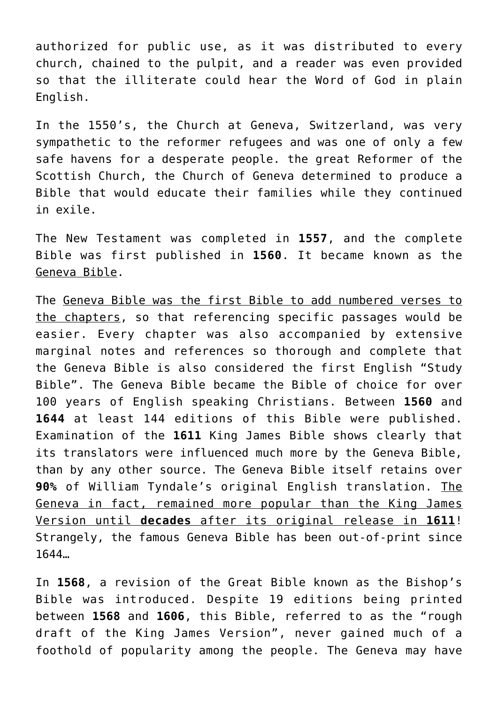authorized for public use, as it was distributed to every church, chained to the pulpit, and a reader was even provided so that the illiterate could hear the Word of God in plain English.

In the 1550's, the Church at Geneva, Switzerland, was very sympathetic to the reformer refugees and was one of only a few safe havens for a desperate people. the great Reformer of the Scottish Church, the Church of Geneva determined to produce a Bible that would educate their families while they continued in exile.

The New Testament was completed in **1557**, and the complete Bible was first published in **1560**. It became known as the Geneva Bible.

The Geneva Bible was the first Bible to add numbered verses to the chapters, so that referencing specific passages would be easier. Every chapter was also accompanied by extensive marginal notes and references so thorough and complete that the Geneva Bible is also considered the first English "Study Bible". The Geneva Bible became the Bible of choice for over 100 years of English speaking Christians. Between **1560** and **1644** at least 144 editions of this Bible were published. Examination of the **1611** King James Bible shows clearly that its translators were influenced much more by the Geneva Bible, than by any other source. The Geneva Bible itself retains over **90%** of William Tyndale's original English translation. The Geneva in fact, remained more popular than the King James Version until **decades** after its original release in **1611**! Strangely, the famous Geneva Bible has been out-of-print since 1644…

In **1568**, a revision of the Great Bible known as the Bishop's Bible was introduced. Despite 19 editions being printed between **1568** and **1606**, this Bible, referred to as the "rough draft of the King James Version", never gained much of a foothold of popularity among the people. The Geneva may have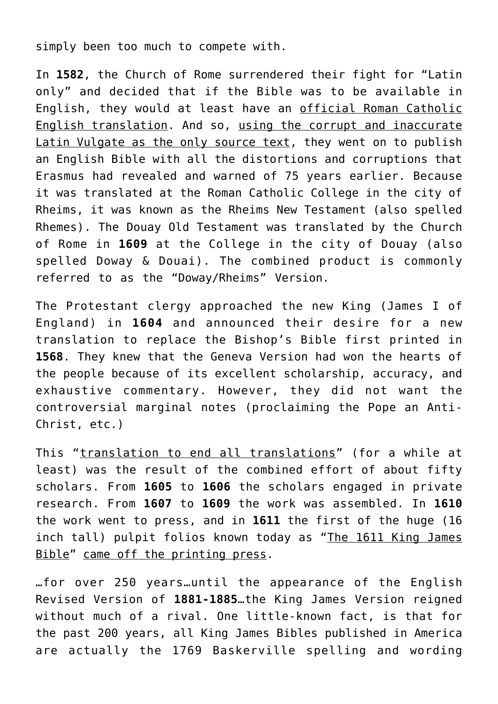simply been too much to compete with.

In **1582**, the Church of Rome surrendered their fight for "Latin only" and decided that if the Bible was to be available in English, they would at least have an official Roman Catholic English translation. And so, using the corrupt and inaccurate Latin Vulgate as the only source text, they went on to publish an English Bible with all the distortions and corruptions that Erasmus had revealed and warned of 75 years earlier. Because it was translated at the Roman Catholic College in the city of Rheims, it was known as the Rheims New Testament (also spelled Rhemes). The Douay Old Testament was translated by the Church of Rome in **1609** at the College in the city of Douay (also spelled Doway & Douai). The combined product is commonly referred to as the "Doway/Rheims" Version.

The Protestant clergy approached the new King (James I of England) in **1604** and announced their desire for a new translation to replace the Bishop's Bible first printed in **1568**. They knew that the Geneva Version had won the hearts of the people because of its excellent scholarship, accuracy, and exhaustive commentary. However, they did not want the controversial marginal notes (proclaiming the Pope an Anti-Christ, etc.)

This "translation to end all translations" (for a while at least) was the result of the combined effort of about fifty scholars. From **1605** to **1606** the scholars engaged in private research. From **1607** to **1609** the work was assembled. In **1610** the work went to press, and in **1611** the first of the huge (16 inch tall) pulpit folios known today as "The 1611 King James Bible" came off the printing press.

…for over 250 years…until the appearance of the English Revised Version of **1881-1885**…the King James Version reigned without much of a rival. One little-known fact, is that for the past 200 years, all King James Bibles published in America are actually the 1769 Baskerville spelling and wording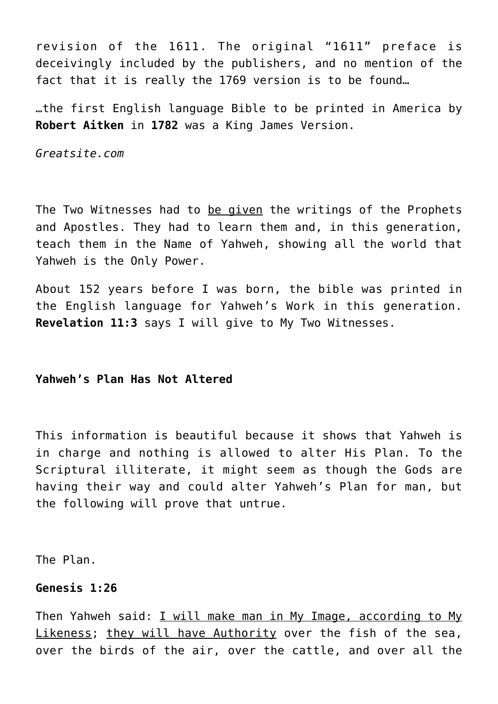revision of the 1611. The original "1611" preface is deceivingly included by the publishers, and no mention of the fact that it is really the 1769 version is to be found…

…the first English language Bible to be printed in America by **Robert Aitken** in **1782** was a King James Version.

*Greatsite.com*

The Two Witnesses had to be given the writings of the Prophets and Apostles. They had to learn them and, in this generation, teach them in the Name of Yahweh, showing all the world that Yahweh is the Only Power.

About 152 years before I was born, the bible was printed in the English language for Yahweh's Work in this generation. **Revelation 11:3** says I will give to My Two Witnesses.

# **Yahweh's Plan Has Not Altered**

This information is beautiful because it shows that Yahweh is in charge and nothing is allowed to alter His Plan. To the Scriptural illiterate, it might seem as though the Gods are having their way and could alter Yahweh's Plan for man, but the following will prove that untrue.

The Plan.

## **Genesis 1:26**

Then Yahweh said: I will make man in My Image, according to My Likeness; they will have Authority over the fish of the sea, over the birds of the air, over the cattle, and over all the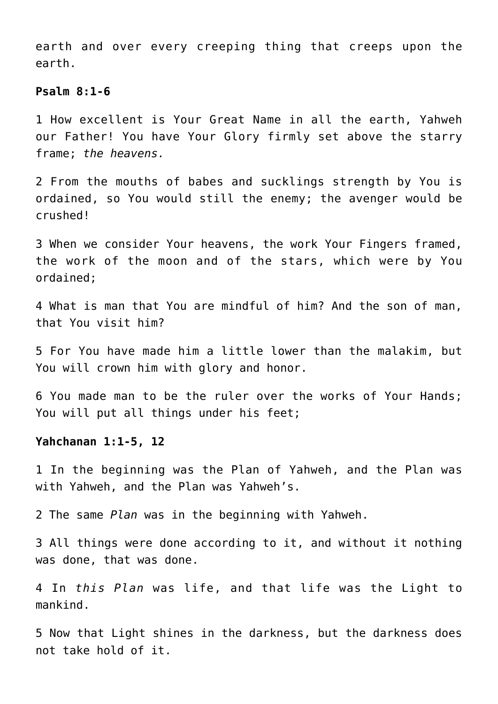earth and over every creeping thing that creeps upon the earth.

## **Psalm 8:1-6**

1 How excellent is Your Great Name in all the earth, Yahweh our Father! You have Your Glory firmly set above the starry frame; *the heavens.*

2 From the mouths of babes and sucklings strength by You is ordained, so You would still the enemy; the avenger would be crushed!

3 When we consider Your heavens, the work Your Fingers framed, the work of the moon and of the stars, which were by You ordained;

4 What is man that You are mindful of him? And the son of man, that You visit him?

5 For You have made him a little lower than the malakim, but You will crown him with glory and honor.

6 You made man to be the ruler over the works of Your Hands; You will put all things under his feet;

#### **Yahchanan 1:1-5, 12**

1 In the beginning was the Plan of Yahweh, and the Plan was with Yahweh, and the Plan was Yahweh's.

2 The same *Plan* was in the beginning with Yahweh.

3 All things were done according to it, and without it nothing was done, that was done.

4 In *this Plan* was life, and that life was the Light to mankind.

5 Now that Light shines in the darkness, but the darkness does not take hold of it.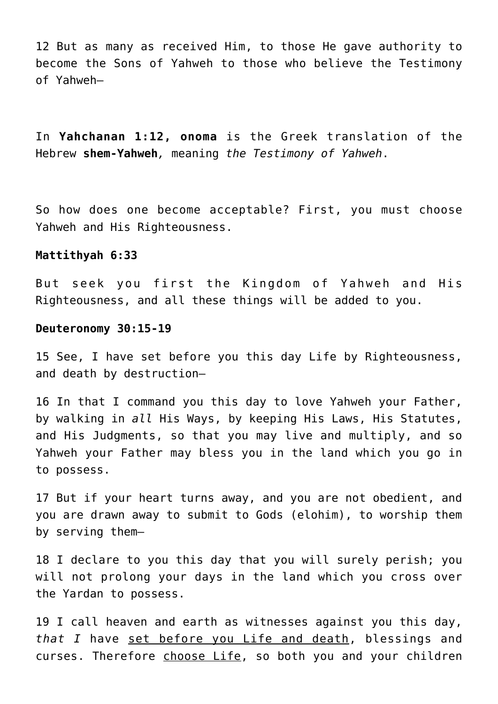12 But as many as received Him, to those He gave authority to become the Sons of Yahweh to those who believe the Testimony of Yahweh—

In **Yahchanan 1:12, onoma** is the Greek translation of the Hebrew **shem-Yahweh***,* meaning *the Testimony of Yahweh*.

So how does one become acceptable? First, you must choose Yahweh and His Righteousness.

## **Mattithyah 6:33**

But seek you first the Kingdom of Yahweh and His Righteousness, and all these things will be added to you.

## **Deuteronomy 30:15-19**

15 See, I have set before you this day Life by Righteousness, and death by destruction—

16 In that I command you this day to love Yahweh your Father, by walking in *all* His Ways, by keeping His Laws, His Statutes, and His Judgments, so that you may live and multiply, and so Yahweh your Father may bless you in the land which you go in to possess.

17 But if your heart turns away, and you are not obedient, and you are drawn away to submit to Gods (elohim), to worship them by serving them—

18 I declare to you this day that you will surely perish; you will not prolong your days in the land which you cross over the Yardan to possess.

19 I call heaven and earth as witnesses against you this day, *that I* have set before you Life and death, blessings and curses. Therefore choose Life, so both you and your children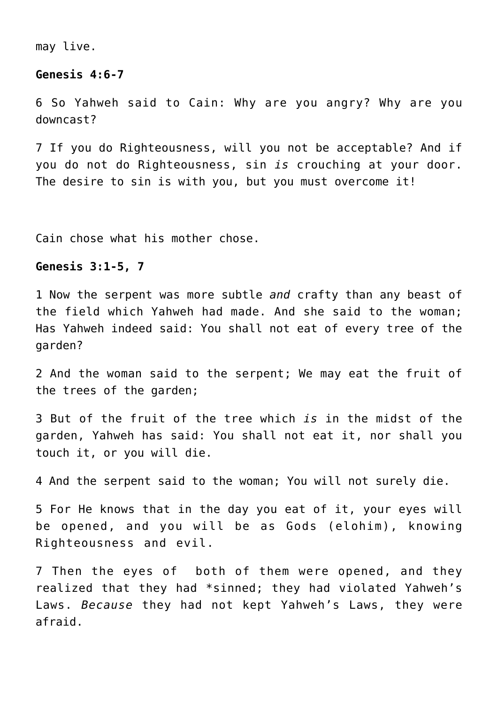may live.

#### **Genesis 4:6-7**

6 So Yahweh said to Cain: Why are you angry? Why are you downcast?

7 If you do Righteousness, will you not be acceptable? And if you do not do Righteousness, sin *is* crouching at your door. The desire to sin is with you, but you must overcome it!

Cain chose what his mother chose.

#### **Genesis 3:1-5, 7**

1 Now the serpent was more subtle *and* crafty than any beast of the field which Yahweh had made. And she said to the woman; Has Yahweh indeed said: You shall not eat of every tree of the garden?

2 And the woman said to the serpent; We may eat the fruit of the trees of the garden;

3 But of the fruit of the tree which *is* in the midst of the garden, Yahweh has said: You shall not eat it, nor shall you touch it, or you will die.

4 And the serpent said to the woman; You will not surely die.

5 For He knows that in the day you eat of it, your eyes will be opened, and you will be as Gods (elohim), knowing Righteousness and evil.

7 Then the eyes of both of them were opened, and they realized that they had \*sinned; they had violated Yahweh's Laws. *Because* they had not kept Yahweh's Laws, they were afraid.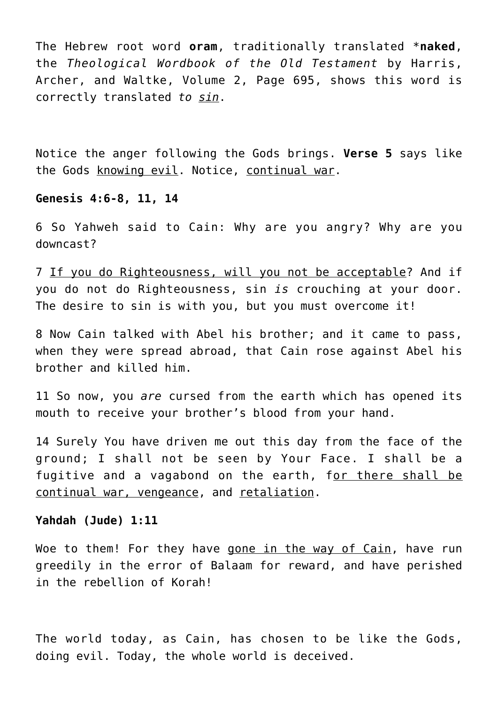The Hebrew root word **oram**, traditionally translated \***naked**, the *Theological Wordbook of the Old Testament* by Harris, Archer, and Waltke, Volume 2, Page 695, shows this word is correctly translated *to sin*.

Notice the anger following the Gods brings. **Verse 5** says like the Gods knowing evil. Notice, continual war.

#### **Genesis 4:6-8, 11, 14**

6 So Yahweh said to Cain: Why are you angry? Why are you downcast?

7 If you do Righteousness, will you not be acceptable? And if you do not do Righteousness, sin *is* crouching at your door. The desire to sin is with you, but you must overcome it!

8 Now Cain talked with Abel his brother; and it came to pass, when they were spread abroad, that Cain rose against Abel his brother and killed him.

11 So now, you *are* cursed from the earth which has opened its mouth to receive your brother's blood from your hand.

14 Surely You have driven me out this day from the face of the ground; I shall not be seen by Your Face. I shall be a fugitive and a vagabond on the earth, for there shall be continual war, vengeance, and retaliation.

#### **Yahdah (Jude) 1:11**

Woe to them! For they have gone in the way of Cain, have run greedily in the error of Balaam for reward, and have perished in the rebellion of Korah!

The world today, as Cain, has chosen to be like the Gods, doing evil. Today, the whole world is deceived.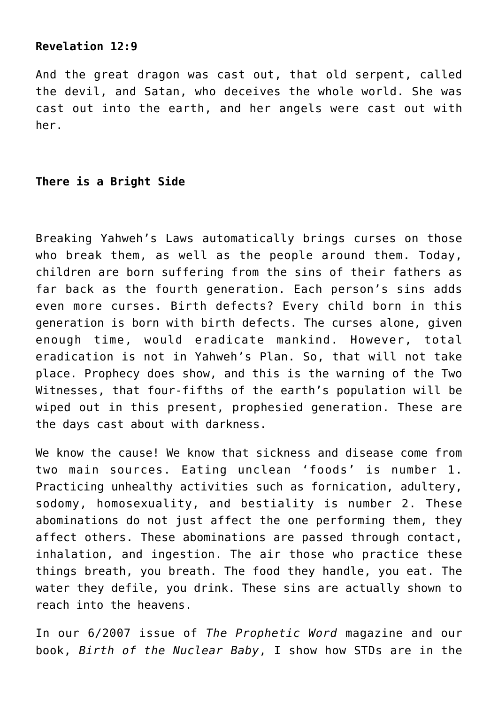# **Revelation 12:9**

And the great dragon was cast out, that old serpent, called the devil, and Satan, who deceives the whole world. She was cast out into the earth, and her angels were cast out with her.

# **There is a Bright Side**

Breaking Yahweh's Laws automatically brings curses on those who break them, as well as the people around them. Today, children are born suffering from the sins of their fathers as far back as the fourth generation. Each person's sins adds even more curses. Birth defects? Every child born in this generation is born with birth defects. The curses alone, given enough time, would eradicate mankind. However, total eradication is not in Yahweh's Plan. So, that will not take place. Prophecy does show, and this is the warning of the Two Witnesses, that four-fifths of the earth's population will be wiped out in this present, prophesied generation. These are the days cast about with darkness.

We know the cause! We know that sickness and disease come from two main sources. Eating unclean 'foods' is number 1. Practicing unhealthy activities such as fornication, adultery, sodomy, homosexuality, and bestiality is number 2. These abominations do not just affect the one performing them, they affect others. These abominations are passed through contact, inhalation, and ingestion. The air those who practice these things breath, you breath. The food they handle, you eat. The water they defile, you drink. These sins are actually shown to reach into the heavens.

In our 6/2007 issue of *The Prophetic Word* magazine and our book, *Birth of the Nuclear Baby*, I show how STDs are in the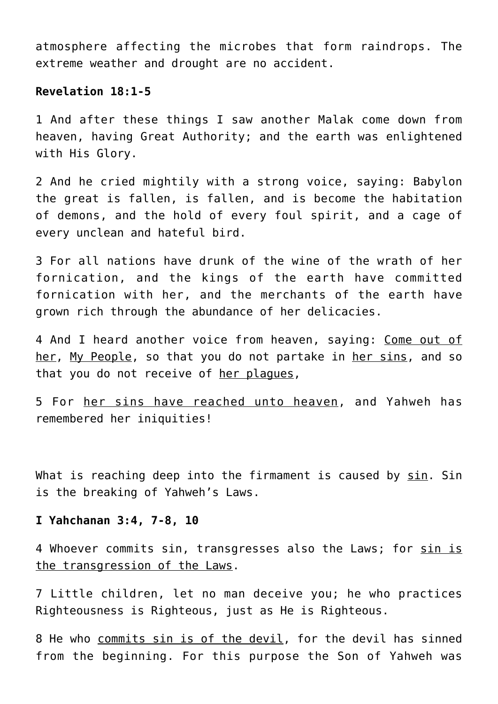atmosphere affecting the microbes that form raindrops. The extreme weather and drought are no accident.

# **Revelation 18:1-5**

1 And after these things I saw another Malak come down from heaven, having Great Authority; and the earth was enlightened with His Glory.

2 And he cried mightily with a strong voice, saying: Babylon the great is fallen, is fallen, and is become the habitation of demons, and the hold of every foul spirit, and a cage of every unclean and hateful bird.

3 For all nations have drunk of the wine of the wrath of her fornication, and the kings of the earth have committed fornication with her, and the merchants of the earth have grown rich through the abundance of her delicacies.

4 And I heard another voice from heaven, saying: Come out of her, My People, so that you do not partake in her sins, and so that you do not receive of her plagues,

5 For her sins have reached unto heaven, and Yahweh has remembered her iniquities!

What is reaching deep into the firmament is caused by  $sin$ . Sin is the breaking of Yahweh's Laws.

#### **I Yahchanan 3:4, 7-8, 10**

4 Whoever commits sin, transgresses also the Laws; for sin is the transgression of the Laws.

7 Little children, let no man deceive you; he who practices Righteousness is Righteous, just as He is Righteous.

8 He who commits sin is of the devil, for the devil has sinned from the beginning. For this purpose the Son of Yahweh was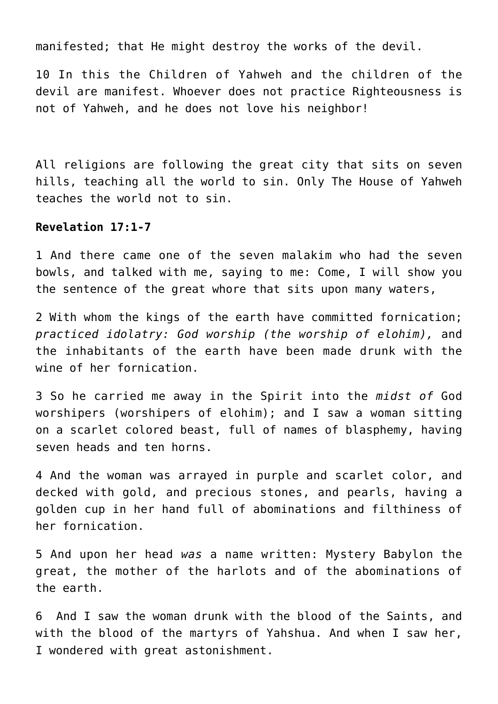manifested; that He might destroy the works of the devil.

10 In this the Children of Yahweh and the children of the devil are manifest. Whoever does not practice Righteousness is not of Yahweh, and he does not love his neighbor!

All religions are following the great city that sits on seven hills, teaching all the world to sin. Only The House of Yahweh teaches the world not to sin.

# **Revelation 17:1-7**

1 And there came one of the seven malakim who had the seven bowls, and talked with me, saying to me: Come, I will show you the sentence of the great whore that sits upon many waters,

2 With whom the kings of the earth have committed fornication; *practiced idolatry: God worship (the worship of elohim),* and the inhabitants of the earth have been made drunk with the wine of her fornication.

3 So he carried me away in the Spirit into the *midst of* God worshipers (worshipers of elohim); and I saw a woman sitting on a scarlet colored beast, full of names of blasphemy, having seven heads and ten horns.

4 And the woman was arrayed in purple and scarlet color, and decked with gold, and precious stones, and pearls, having a golden cup in her hand full of abominations and filthiness of her fornication.

5 And upon her head *was* a name written: Mystery Babylon the great, the mother of the harlots and of the abominations of the earth.

6 And I saw the woman drunk with the blood of the Saints, and with the blood of the martyrs of Yahshua. And when I saw her, I wondered with great astonishment.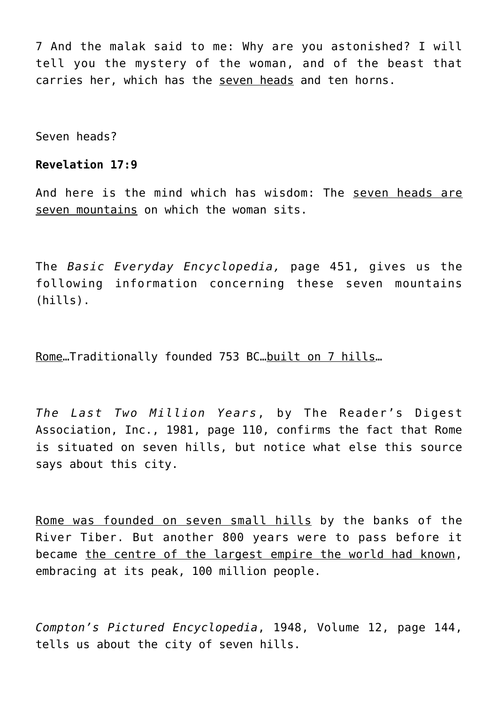7 And the malak said to me: Why are you astonished? I will tell you the mystery of the woman, and of the beast that carries her, which has the seven heads and ten horns.

Seven heads?

# **Revelation 17:9**

And here is the mind which has wisdom: The seven heads are seven mountains on which the woman sits.

The *Basic Everyday Encyclopedia,* page 451, gives us the following information concerning these seven mountains (hills).

Rome…Traditionally founded 753 BC…built on 7 hills…

*The Last Two Million Years*, by The Reader's Digest Association, Inc., 1981, page 110, confirms the fact that Rome is situated on seven hills, but notice what else this source says about this city.

Rome was founded on seven small hills by the banks of the River Tiber. But another 800 years were to pass before it became the centre of the largest empire the world had known, embracing at its peak, 100 million people.

*Compton's Pictured Encyclopedia*, 1948, Volume 12, page 144, tells us about the city of seven hills.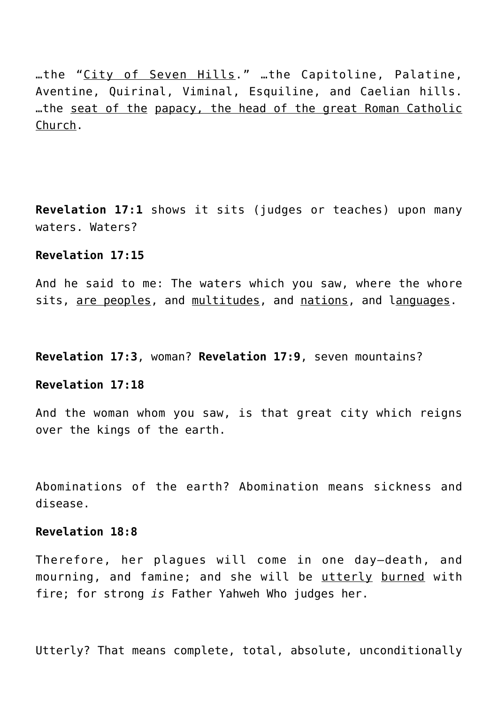…the "City of Seven Hills." …the Capitoline, Palatine, Aventine, Quirinal, Viminal, Esquiline, and Caelian hills. …the seat of the papacy, the head of the great Roman Catholic Church.

**Revelation 17:1** shows it sits (judges or teaches) upon many waters. Waters?

# **Revelation 17:15**

And he said to me: The waters which you saw, where the whore sits, are peoples, and multitudes, and nations, and languages.

**Revelation 17:3**, woman? **Revelation 17:9**, seven mountains?

# **Revelation 17:18**

And the woman whom you saw, is that great city which reigns over the kings of the earth.

Abominations of the earth? Abomination means sickness and disease.

# **Revelation 18:8**

Therefore, her plagues will come in one day—death, and mourning, and famine; and she will be utterly burned with fire; for strong *is* Father Yahweh Who judges her.

Utterly? That means complete, total, absolute, unconditionally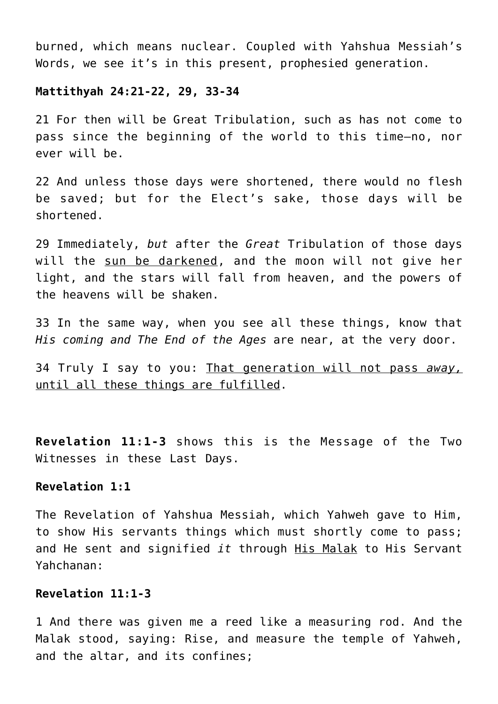burned, which means nuclear. Coupled with Yahshua Messiah's Words, we see it's in this present, prophesied generation.

# **Mattithyah 24:21-22, 29, 33-34**

21 For then will be Great Tribulation, such as has not come to pass since the beginning of the world to this time—no, nor ever will be.

22 And unless those days were shortened, there would no flesh be saved; but for the Elect's sake, those days will be shortened.

29 Immediately, *but* after the *Great* Tribulation of those days will the sun be darkened, and the moon will not give her light, and the stars will fall from heaven, and the powers of the heavens will be shaken.

33 In the same way, when you see all these things, know that *His coming and The End of the Ages* are near, at the very door.

34 Truly I say to you: That generation will not pass *away,* until all these things are fulfilled.

**Revelation 11:1-3** shows this is the Message of the Two Witnesses in these Last Days.

# **Revelation 1:1**

The Revelation of Yahshua Messiah, which Yahweh gave to Him, to show His servants things which must shortly come to pass; and He sent and signified *it* through His Malak to His Servant Yahchanan:

# **Revelation 11:1-3**

1 And there was given me a reed like a measuring rod. And the Malak stood, saying: Rise, and measure the temple of Yahweh, and the altar, and its confines;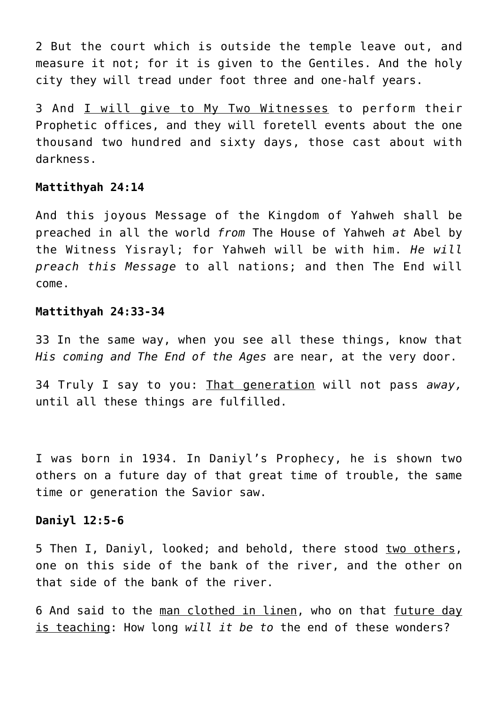2 But the court which is outside the temple leave out, and measure it not; for it is given to the Gentiles. And the holy city they will tread under foot three and one-half years.

3 And I will give to My Two Witnesses to perform their Prophetic offices, and they will foretell events about the one thousand two hundred and sixty days, those cast about with darkness.

## **Mattithyah 24:14**

And this joyous Message of the Kingdom of Yahweh shall be preached in all the world *from* The House of Yahweh *at* Abel by the Witness Yisrayl; for Yahweh will be with him. *He will preach this Message* to all nations; and then The End will come.

# **Mattithyah 24:33-34**

33 In the same way, when you see all these things, know that *His coming and The End of the Ages* are near, at the very door.

34 Truly I say to you: That generation will not pass *away,* until all these things are fulfilled.

I was born in 1934. In Daniyl's Prophecy, he is shown two others on a future day of that great time of trouble, the same time or generation the Savior saw.

# **Daniyl 12:5-6**

5 Then I, Daniyl, looked; and behold, there stood two others, one on this side of the bank of the river, and the other on that side of the bank of the river.

6 And said to the man clothed in linen, who on that future day is teaching: How long *will it be to* the end of these wonders?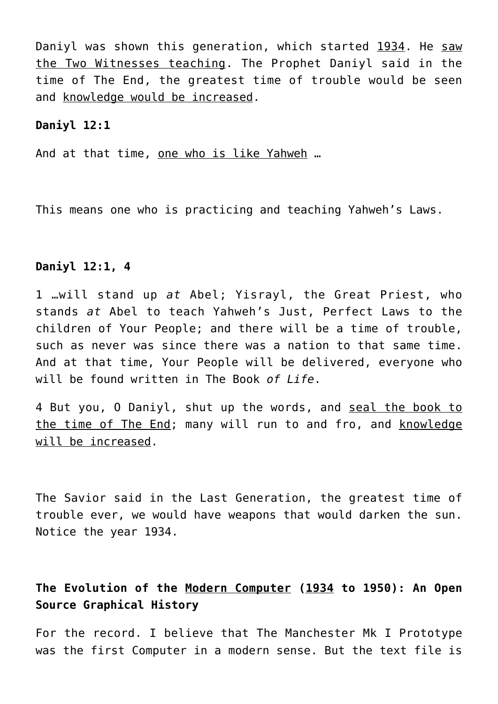Daniyl was shown this generation, which started 1934. He saw the Two Witnesses teaching. The Prophet Daniyl said in the time of The End, the greatest time of trouble would be seen and knowledge would be increased.

## **Daniyl 12:1**

And at that time, one who is like Yahweh …

This means one who is practicing and teaching Yahweh's Laws.

# **Daniyl 12:1, 4**

1 …will stand up *at* Abel; Yisrayl, the Great Priest, who stands *at* Abel to teach Yahweh's Just, Perfect Laws to the children of Your People; and there will be a time of trouble, such as never was since there was a nation to that same time. And at that time, Your People will be delivered, everyone who will be found written in The Book *of Life*.

4 But you, O Daniyl, shut up the words, and seal the book to the time of The End; many will run to and fro, and knowledge will be increased.

The Savior said in the Last Generation, the greatest time of trouble ever, we would have weapons that would darken the sun. Notice the year 1934.

# **The Evolution of the Modern Computer (1934 to 1950): An Open Source Graphical History**

For the record. I believe that The Manchester Mk I Prototype was the first Computer in a modern sense. But the text file is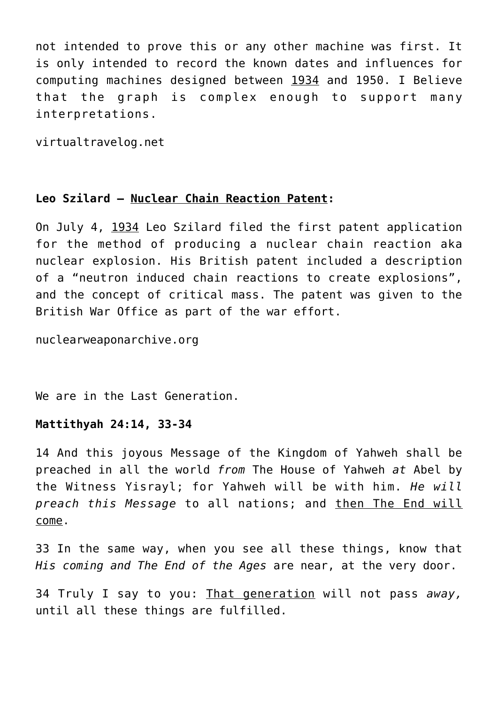not intended to prove this or any other machine was first. It is only intended to record the known dates and influences for computing machines designed between 1934 and 1950. I Believe that the graph is complex enough to support many interpretations.

virtualtravelog.net

# **Leo Szilard – Nuclear Chain Reaction Patent:**

On July 4, 1934 Leo Szilard filed the first patent application for the method of producing a nuclear chain reaction aka nuclear explosion. His British patent included a description of a "neutron induced chain reactions to create explosions", and the concept of critical mass. The patent was given to the British War Office as part of the war effort.

nuclearweaponarchive.org

We are in the Last Generation.

# **Mattithyah 24:14, 33-34**

14 And this joyous Message of the Kingdom of Yahweh shall be preached in all the world *from* The House of Yahweh *at* Abel by the Witness Yisrayl; for Yahweh will be with him. *He will* preach this Message to all nations; and then The End will come.

33 In the same way, when you see all these things, know that *His coming and The End of the Ages* are near, at the very door.

34 Truly I say to you: That generation will not pass *away,* until all these things are fulfilled.